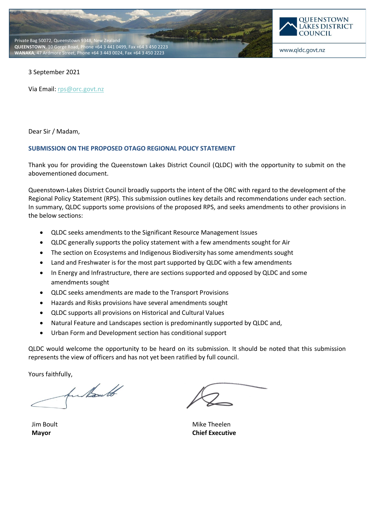



www.qldc.govt.nz

3 September 2021

Via Email[: rps@orc.govt.nz](mailto:rps@orc.govt.nz)

Dear Sir / Madam,

#### **SUBMISSION ON THE PROPOSED OTAGO REGIONAL POLICY STATEMENT**

Thank you for providing the Queenstown Lakes District Council (QLDC) with the opportunity to submit on the abovementioned document.

Queenstown-Lakes District Council broadly supports the intent of the ORC with regard to the development of the Regional Policy Statement (RPS). This submission outlines key details and recommendations under each section. In summary, QLDC supports some provisions of the proposed RPS, and seeks amendments to other provisions in the below sections:

- QLDC seeks amendments to the Significant Resource Management Issues
- QLDC generally supports the policy statement with a few amendments sought for Air
- The section on Ecosystems and Indigenous Biodiversity has some amendments sought
- Land and Freshwater is for the most part supported by QLDC with a few amendments
- In Energy and Infrastructure, there are sections supported and opposed by QLDC and some amendments sought
- QLDC seeks amendments are made to the Transport Provisions
- Hazards and Risks provisions have several amendments sought
- QLDC supports all provisions on Historical and Cultural Values
- Natural Feature and Landscapes section is predominantly supported by QLDC and,
- Urban Form and Development section has conditional support

QLDC would welcome the opportunity to be heard on its submission. It should be noted that this submission represents the view of officers and has not yet been ratified by full council.

Yours faithfully,<br>further that

Jim Boult **Mayor**

Mike Theelen **Chief Executive**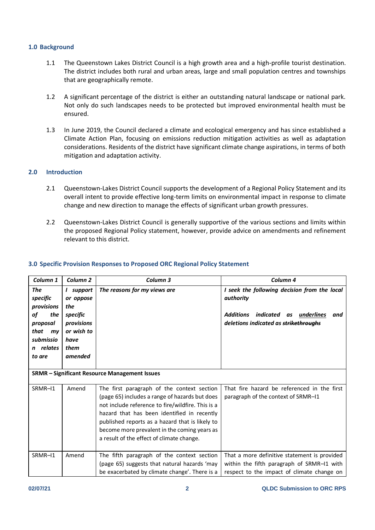### **1.0 Background**

- 1.1 The Queenstown Lakes District Council is a high growth area and a high-profile tourist destination. The district includes both rural and urban areas, large and small population centres and townships that are geographically remote.
- 1.2 A significant percentage of the district is either an outstanding natural landscape or national park. Not only do such landscapes needs to be protected but improved environmental health must be ensured.
- 1.3 In June 2019, the Council declared a climate and ecological emergency and has since established a Climate Action Plan, focusing on emissions reduction mitigation activities as well as adaptation considerations. Residents of the district have significant climate change aspirations, in terms of both mitigation and adaptation activity.

# **2.0 Introduction**

- 2.1 Queenstown-Lakes District Council supports the development of a Regional Policy Statement and its overall intent to provide effective long-term limits on environmental impact in response to climate change and new direction to manage the effects of significant urban growth pressures.
- 2.2 Queenstown-Lakes District Council is generally supportive of the various sections and limits within the proposed Regional Policy statement, however, provide advice on amendments and refinement relevant to this district.

| Column 1                                                                                                           | Column <sub>2</sub>                                                                              | Column 3                                                                                                                                                                                                                                                                                                                                         | Column <sub>4</sub>                                                                                                                                            |
|--------------------------------------------------------------------------------------------------------------------|--------------------------------------------------------------------------------------------------|--------------------------------------------------------------------------------------------------------------------------------------------------------------------------------------------------------------------------------------------------------------------------------------------------------------------------------------------------|----------------------------------------------------------------------------------------------------------------------------------------------------------------|
| The<br>specific<br>provisions<br>of<br>the<br>proposal<br>that<br>m <sub>V</sub><br>submissio<br>relates<br>to are | I support<br>or oppose<br>the<br>specific<br>provisions<br>or wish to<br>have<br>them<br>amended | The reasons for my views are                                                                                                                                                                                                                                                                                                                     | I seek the following decision from the local<br>authority<br>indicated<br><b>Additions</b><br>underlines<br>and<br>as<br>deletions indicated as strikethroughs |
|                                                                                                                    |                                                                                                  | <b>SRMR - Significant Resource Management Issues</b>                                                                                                                                                                                                                                                                                             |                                                                                                                                                                |
| SRMR-11                                                                                                            | Amend                                                                                            | The first paragraph of the context section<br>(page 65) includes a range of hazards but does<br>not include reference to fire/wildfire. This is a<br>hazard that has been identified in recently<br>published reports as a hazard that is likely to<br>become more prevalent in the coming years as<br>a result of the effect of climate change. | That fire hazard be referenced in the first<br>paragraph of the context of SRMR-I1                                                                             |
| SRMR-11                                                                                                            | Amend                                                                                            | The fifth paragraph of the context section<br>(page 65) suggests that natural hazards 'may<br>be exacerbated by climate change'. There is a                                                                                                                                                                                                      | That a more definitive statement is provided<br>within the fifth paragraph of SRMR-11 with<br>respect to the impact of climate change on                       |

# **3.0 Specific Provision Responses to Proposed ORC Regional Policy Statement**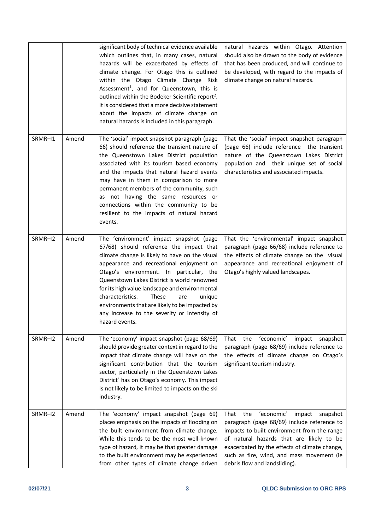|         |       | significant body of technical evidence available<br>which outlines that, in many cases, natural<br>hazards will be exacerbated by effects of<br>climate change. For Otago this is outlined<br>within the Otago Climate Change Risk<br>Assessment <sup>1</sup> , and for Queenstown, this is<br>outlined within the Bodeker Scientific report <sup>2</sup> .<br>It is considered that a more decisive statement<br>about the impacts of climate change on<br>natural hazards is included in this paragraph. | natural hazards within Otago. Attention<br>should also be drawn to the body of evidence<br>that has been produced, and will continue to<br>be developed, with regard to the impacts of<br>climate change on natural hazards.                                                                                             |
|---------|-------|------------------------------------------------------------------------------------------------------------------------------------------------------------------------------------------------------------------------------------------------------------------------------------------------------------------------------------------------------------------------------------------------------------------------------------------------------------------------------------------------------------|--------------------------------------------------------------------------------------------------------------------------------------------------------------------------------------------------------------------------------------------------------------------------------------------------------------------------|
| SRMR-11 | Amend | The 'social' impact snapshot paragraph (page<br>66) should reference the transient nature of<br>the Queenstown Lakes District population<br>associated with its tourism based economy<br>and the impacts that natural hazard events<br>may have in them in comparison to more<br>permanent members of the community, such<br>as not having the same resources or<br>connections within the community to be<br>resilient to the impacts of natural hazard<br>events.                                        | That the 'social' impact snapshot paragraph<br>(page 66) include reference the transient<br>nature of the Queenstown Lakes District<br>population and their unique set of social<br>characteristics and associated impacts.                                                                                              |
| SRMR-12 | Amend | The 'environment' impact snapshot (page<br>67/68) should reference the impact that<br>climate change is likely to have on the visual<br>appearance and recreational enjoyment on<br>Otago's environment. In particular, the<br>Queenstown Lakes District is world renowned<br>for its high value landscape and environmental<br>characteristics.<br>These<br>are<br>unique<br>environments that are likely to be impacted by<br>any increase to the severity or intensity of<br>hazard events.             | That the 'environmental' impact snapshot<br>paragraph (page 66/68) include reference to<br>the effects of climate change on the visual<br>appearance and recreational enjoyment of<br>Otago's highly valued landscapes.                                                                                                  |
| SRMR-12 | Amend | The 'economy' impact snapshot (page 68/69)<br>should provide greater context in regard to the<br>impact that climate change will have on the<br>significant contribution that the tourism<br>sector, particularly in the Queenstown Lakes<br>District' has on Otago's economy. This impact<br>is not likely to be limited to impacts on the ski<br>industry.                                                                                                                                               | 'economic'<br>That<br>the<br>impact<br>snapshot<br>paragraph (page 68/69) include reference to<br>the effects of climate change on Otago's<br>significant tourism industry.                                                                                                                                              |
| SRMR-12 | Amend | The 'economy' impact snapshot (page 69)<br>places emphasis on the impacts of flooding on<br>the built environment from climate change.<br>While this tends to be the most well-known<br>type of hazard, it may be that greater damage<br>to the built environment may be experienced<br>from other types of climate change driven                                                                                                                                                                          | That<br>'economic'<br>the<br>impact<br>snapshot<br>paragraph (page 68/69) include reference to<br>impacts to built environment from the range<br>of natural hazards that are likely to be<br>exacerbated by the effects of climate change,<br>such as fire, wind, and mass movement (ie<br>debris flow and landsliding). |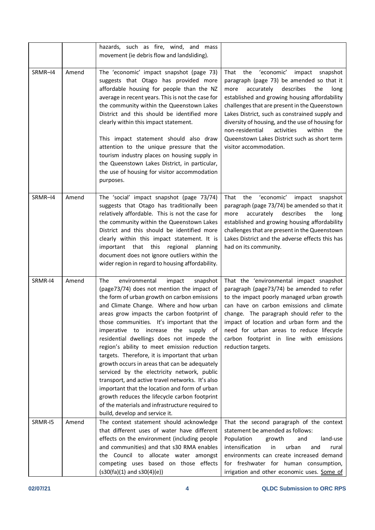|         |       | hazards, such as fire, wind, and mass<br>movement (ie debris flow and landsliding).                                                                                                                                                                                                                                                                                                                                                                                                                                                                                                                                                                                                                                                                                                                              |                                                                                                                                                                                                                                                                                                                                                                                                                                                                                    |
|---------|-------|------------------------------------------------------------------------------------------------------------------------------------------------------------------------------------------------------------------------------------------------------------------------------------------------------------------------------------------------------------------------------------------------------------------------------------------------------------------------------------------------------------------------------------------------------------------------------------------------------------------------------------------------------------------------------------------------------------------------------------------------------------------------------------------------------------------|------------------------------------------------------------------------------------------------------------------------------------------------------------------------------------------------------------------------------------------------------------------------------------------------------------------------------------------------------------------------------------------------------------------------------------------------------------------------------------|
| SRMR-14 | Amend | The 'economic' impact snapshot (page 73)<br>suggests that Otago has provided more<br>affordable housing for people than the NZ<br>average in recent years. This is not the case for<br>the community within the Queenstown Lakes<br>District and this should be identified more<br>clearly within this impact statement.<br>This impact statement should also draw<br>attention to the unique pressure that the<br>tourism industry places on housing supply in<br>the Queenstown Lakes District, in particular,<br>the use of housing for visitor accommodation<br>purposes.                                                                                                                                                                                                                                    | That<br>'economic'<br>the<br>impact<br>snapshot<br>paragraph (page 73) be amended so that it<br>accurately<br>describes<br>more<br>the<br>long<br>established and growing housing affordability<br>challenges that are present in the Queenstown<br>Lakes District, such as constrained supply and<br>diversity of housing, and the use of housing for<br>non-residential<br>activities<br>within<br>the<br>Queenstown Lakes District such as short term<br>visitor accommodation. |
| SRMR-14 | Amend | The 'social' impact snapshot (page 73/74)<br>suggests that Otago has traditionally been<br>relatively affordable. This is not the case for<br>the community within the Queenstown Lakes<br>District and this should be identified more<br>clearly within this impact statement. It is<br>important that this<br>regional<br>planning<br>document does not ignore outliers within the<br>wider region in regard to housing affordability.                                                                                                                                                                                                                                                                                                                                                                         | 'economic'<br>the<br>impact<br>snapshot<br>That<br>paragraph (page 73/74) be amended so that it<br>describes<br>accurately<br>the<br>more<br>long<br>established and growing housing affordability<br>challenges that are present in the Queenstown<br>Lakes District and the adverse effects this has<br>had on its community.                                                                                                                                                    |
| SRMR-14 | Amend | The<br>environmental<br>impact<br>snapshot<br>(page73/74) does not mention the impact of<br>the form of urban growth on carbon emissions<br>and Climate Change. Where and how urban<br>areas grow impacts the carbon footprint of<br>those communities. It's important that the<br>imperative to increase the supply of<br>residential dwellings does not impede the<br>region's ability to meet emission reduction<br>targets. Therefore, it is important that urban<br>growth occurs in areas that can be adequately<br>serviced by the electricity network, public<br>transport, and active travel networks. It's also<br>important that the location and form of urban<br>growth reduces the lifecycle carbon footprint<br>of the materials and infrastructure required to<br>build, develop and service it. | That the 'environmental impact snapshot<br>paragraph (page73/74) be amended to refer<br>to the impact poorly managed urban growth<br>can have on carbon emissions and climate<br>change. The paragraph should refer to the<br>impact of location and urban form and the<br>need for urban areas to reduce lifecycle<br>carbon footprint in line with emissions<br>reduction targets.                                                                                               |
| SRMR-I5 | Amend | The context statement should acknowledge<br>that different uses of water have different<br>effects on the environment (including people<br>and communities) and that s30 RMA enables<br>the Council to allocate water amongst<br>competing uses based on those effects<br>$(s30(fa)(1)$ and $s30(4)(e))$                                                                                                                                                                                                                                                                                                                                                                                                                                                                                                         | That the second paragraph of the context<br>statement be amended as follows:<br>Population<br>growth<br>land-use<br>and<br>intensification<br>urban<br>in<br>and<br>rural<br>environments can create increased demand<br>for freshwater for human consumption,<br>irrigation and other economic uses. Some of                                                                                                                                                                      |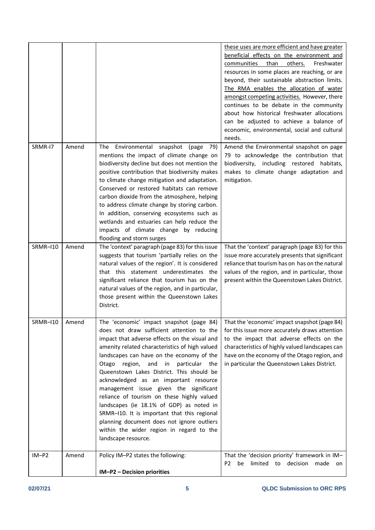|          |       |                                                                                                                                                                                                                                                                                                                                                                                                                                                                                                                                                                                                                                                                                  | these uses are more efficient and have greater<br>beneficial effects on the environment and<br>than<br>others.<br>Freshwater<br>communities<br>resources in some places are reaching, or are<br>beyond, their sustainable abstraction limits.<br>The RMA enables the allocation of water<br>amongst competing activities. However, there<br>continues to be debate in the community<br>about how historical freshwater allocations<br>can be adjusted to achieve a balance of<br>economic, environmental, social and cultural<br>needs. |
|----------|-------|----------------------------------------------------------------------------------------------------------------------------------------------------------------------------------------------------------------------------------------------------------------------------------------------------------------------------------------------------------------------------------------------------------------------------------------------------------------------------------------------------------------------------------------------------------------------------------------------------------------------------------------------------------------------------------|-----------------------------------------------------------------------------------------------------------------------------------------------------------------------------------------------------------------------------------------------------------------------------------------------------------------------------------------------------------------------------------------------------------------------------------------------------------------------------------------------------------------------------------------|
| SRMR-I7  | Amend | Environmental<br>snapshot (page<br>The<br>79)<br>mentions the impact of climate change on<br>biodiversity decline but does not mention the<br>positive contribution that biodiversity makes<br>to climate change mitigation and adaptation.<br>Conserved or restored habitats can remove<br>carbon dioxide from the atmosphere, helping<br>to address climate change by storing carbon.<br>In addition, conserving ecosystems such as<br>wetlands and estuaries can help reduce the<br>impacts of climate change by reducing<br>flooding and storm surges                                                                                                                        | Amend the Environmental snapshot on page<br>79 to acknowledge the contribution that<br>biodiversity, including restored<br>habitats,<br>makes to climate change adaptation and<br>mitigation.                                                                                                                                                                                                                                                                                                                                           |
| SRMR-110 | Amend | The 'context' paragraph (page 83) for this issue<br>suggests that tourism 'partially relies on the<br>natural values of the region'. It is considered<br>that this statement underestimates the<br>significant reliance that tourism has on the<br>natural values of the region, and in particular,<br>those present within the Queenstown Lakes<br>District.                                                                                                                                                                                                                                                                                                                    | That the 'context' paragraph (page 83) for this<br>issue more accurately presents that significant<br>reliance that tourism has on has on the natural<br>values of the region, and in particular, those<br>present within the Queenstown Lakes District.                                                                                                                                                                                                                                                                                |
| SRMR–I10 | Amend | The 'economic' impact snapshot (page 84)<br>does not draw sufficient attention to the<br>impact that adverse effects on the visual and<br>amenity related characteristics of high valued<br>landscapes can have on the economy of the<br>particular the<br>Otago region,<br>and<br>in<br>Queenstown Lakes District. This should be<br>acknowledged as an important resource<br>management issue given the significant<br>reliance of tourism on these highly valued<br>landscapes (ie 18.1% of GDP) as noted in<br>SRMR-I10. It is important that this regional<br>planning document does not ignore outliers<br>within the wider region in regard to the<br>landscape resource. | That the 'economic' impact snapshot (page 84)<br>for this issue more accurately draws attention<br>to the impact that adverse effects on the<br>characteristics of highly valued landscapes can<br>have on the economy of the Otago region, and<br>in particular the Queenstown Lakes District.                                                                                                                                                                                                                                         |
| $IM-P2$  | Amend | Policy IM-P2 states the following:<br>IM-P2 - Decision priorities                                                                                                                                                                                                                                                                                                                                                                                                                                                                                                                                                                                                                | That the 'decision priority' framework in IM-<br>P2 be limited to decision made on                                                                                                                                                                                                                                                                                                                                                                                                                                                      |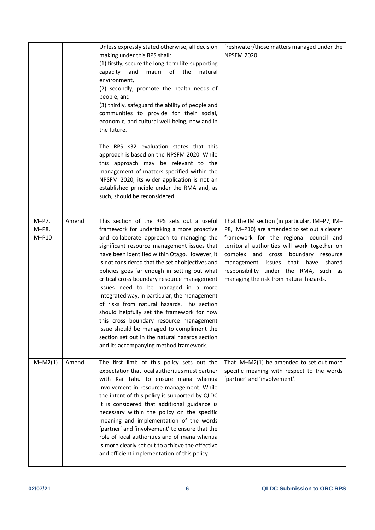|                              |       | Unless expressly stated otherwise, all decision<br>making under this RPS shall:<br>(1) firstly, secure the long-term life-supporting<br>and<br>mauri<br>of<br>the<br>capacity<br>natural<br>environment,<br>(2) secondly, promote the health needs of<br>people, and<br>(3) thirdly, safeguard the ability of people and<br>communities to provide for their social,<br>economic, and cultural well-being, now and in<br>the future.<br>The RPS s32 evaluation states that this<br>approach is based on the NPSFM 2020. While<br>this approach may be relevant to the<br>management of matters specified within the<br>NPSFM 2020, its wider application is not an<br>established principle under the RMA and, as<br>such, should be reconsidered.               | freshwater/those matters managed under the<br><b>NPSFM 2020.</b>                                                                                                                                                                                                                                                                                                 |
|------------------------------|-------|------------------------------------------------------------------------------------------------------------------------------------------------------------------------------------------------------------------------------------------------------------------------------------------------------------------------------------------------------------------------------------------------------------------------------------------------------------------------------------------------------------------------------------------------------------------------------------------------------------------------------------------------------------------------------------------------------------------------------------------------------------------|------------------------------------------------------------------------------------------------------------------------------------------------------------------------------------------------------------------------------------------------------------------------------------------------------------------------------------------------------------------|
| $IM-P7,$<br>IM-P8,<br>IM-P10 | Amend | This section of the RPS sets out a useful<br>framework for undertaking a more proactive<br>and collaborate approach to managing the<br>significant resource management issues that<br>have been identified within Otago. However, it<br>is not considered that the set of objectives and<br>policies goes far enough in setting out what<br>critical cross boundary resource management<br>issues need to be managed in a more<br>integrated way, in particular, the management<br>of risks from natural hazards. This section<br>should helpfully set the framework for how<br>this cross boundary resource management<br>issue should be managed to compliment the<br>section set out in the natural hazards section<br>and its accompanying method framework. | That the IM section (in particular, IM-P7, IM-<br>P8, IM-P10) are amended to set out a clearer<br>framework for the regional council and<br>territorial authorities will work together on<br>complex and cross boundary resource<br>that have<br>management issues<br>shared<br>responsibility under the RMA, such as<br>managing the risk from natural hazards. |
| $IM-M2(1)$                   | Amend | The first limb of this policy sets out the<br>expectation that local authorities must partner<br>with Kāi Tahu to ensure mana whenua<br>involvement in resource management. While<br>the intent of this policy is supported by QLDC<br>it is considered that additional guidance is<br>necessary within the policy on the specific<br>meaning and implementation of the words<br>'partner' and 'involvement' to ensure that the<br>role of local authorities and of mana whenua<br>is more clearly set out to achieve the effective<br>and efficient implementation of this policy.                                                                                                                                                                              | That IM-M2(1) be amended to set out more<br>specific meaning with respect to the words<br>'partner' and 'involvement'.                                                                                                                                                                                                                                           |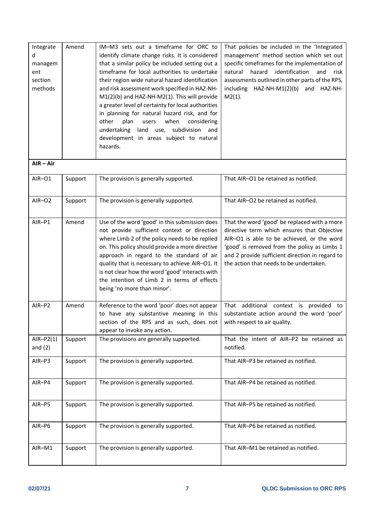| Integrate<br>d<br>managem<br>ent<br>section<br>methods | Amend   | IM-M3 sets out a timeframe for ORC to<br>identify climate change risks. It is considered<br>that a similar policy be included setting out a<br>timeframe for local authorities to undertake<br>their region wide natural hazard identification<br>and risk assessment work specified in HAZ-NH-<br>M1(2)(b) and HAZ-NH-M2(1). This will provide<br>a greater level of certainty for local authorities<br>in planning for natural hazard risk, and for<br>plan<br>when<br>considering<br>other<br>users<br>undertaking land<br>use, subdivision and<br>development in areas subject to natural<br>hazards. | That policies be included in the 'Integrated<br>management' method section which set out<br>specific timeframes for the implementation of<br>hazard<br>identification<br>natural<br>and<br>risk<br>assessments outlined in other parts of the RPS,<br>including HAZ-NH-M1(2)(b) and HAZ-NH-<br>$M2(1)$ . |
|--------------------------------------------------------|---------|-----------------------------------------------------------------------------------------------------------------------------------------------------------------------------------------------------------------------------------------------------------------------------------------------------------------------------------------------------------------------------------------------------------------------------------------------------------------------------------------------------------------------------------------------------------------------------------------------------------|----------------------------------------------------------------------------------------------------------------------------------------------------------------------------------------------------------------------------------------------------------------------------------------------------------|
| $AIR - Air$                                            |         |                                                                                                                                                                                                                                                                                                                                                                                                                                                                                                                                                                                                           |                                                                                                                                                                                                                                                                                                          |
| AIR-01                                                 | Support | The provision is generally supported.                                                                                                                                                                                                                                                                                                                                                                                                                                                                                                                                                                     | That AIR-O1 be retained as notified.                                                                                                                                                                                                                                                                     |
| AIR-O2                                                 | Support | The provision is generally supported.                                                                                                                                                                                                                                                                                                                                                                                                                                                                                                                                                                     | That AIR-O2 be retained as notified.                                                                                                                                                                                                                                                                     |
| AIR-P1                                                 | Amend   | Use of the word 'good' in this submission does<br>not provide sufficient context or direction<br>where Limb 2 of the policy needs to be replied<br>on. This policy should provide a more directive<br>approach in regard to the standard of air<br>quality that is necessary to achieve AIR-O1. It<br>is not clear how the word 'good' interacts with<br>the intention of Limb 2 in terms of effects<br>being 'no more than minor'.                                                                                                                                                                       | That the word 'good' be replaced with a more<br>directive term which ensures that Objective<br>AIR-O1 is able to be achieved, or the word<br>'good' is removed from the policy as Limbs 1<br>and 2 provide sufficient direction in regard to<br>the action that needs to be undertaken.                  |
| AIR-P2                                                 | Amend   | Reference to the word 'poor' does not appear<br>to have any substantive meaning in this<br>section of the RPS and as such, does not<br>appear to invoke any action.                                                                                                                                                                                                                                                                                                                                                                                                                                       | That additional context is provided to<br>substantiate action around the word 'poor'<br>with respect to air quality.                                                                                                                                                                                     |
| $AIR-P2(1)$<br>and $(2)$                               | Support | The provisions are generally supported.                                                                                                                                                                                                                                                                                                                                                                                                                                                                                                                                                                   | That the intent of AIR-P2 be retained as<br>notified.                                                                                                                                                                                                                                                    |
| AIR-P3                                                 | Support | The provision is generally supported.                                                                                                                                                                                                                                                                                                                                                                                                                                                                                                                                                                     | That AIR-P3 be retained as notified.                                                                                                                                                                                                                                                                     |
| AIR-P4                                                 | Support | The provision is generally supported.                                                                                                                                                                                                                                                                                                                                                                                                                                                                                                                                                                     | That AIR-P4 be retained as notified.                                                                                                                                                                                                                                                                     |
| AIR-P5                                                 | Support | The provision is generally supported.                                                                                                                                                                                                                                                                                                                                                                                                                                                                                                                                                                     | That AIR-P5 be retained as notified.                                                                                                                                                                                                                                                                     |
| AIR-P6                                                 | Support | The provision is generally supported.                                                                                                                                                                                                                                                                                                                                                                                                                                                                                                                                                                     | That AIR-P6 be retained as notified.                                                                                                                                                                                                                                                                     |
| AIR-M1                                                 | Support | The provision is generally supported.                                                                                                                                                                                                                                                                                                                                                                                                                                                                                                                                                                     | That AIR-M1 be retained as notified.                                                                                                                                                                                                                                                                     |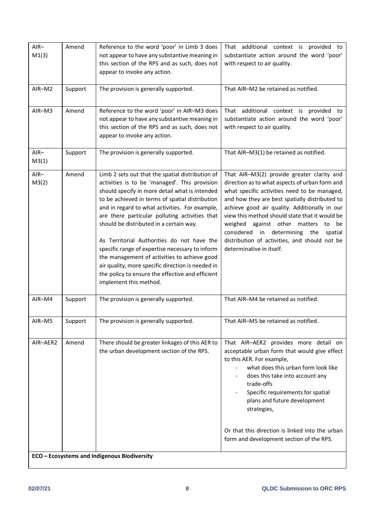| $AIR-$   | Amend   | Reference to the word 'poor' in Limb 3 does                                                  | That additional context is provided to                                                    |
|----------|---------|----------------------------------------------------------------------------------------------|-------------------------------------------------------------------------------------------|
| M1(3)    |         | not appear to have any substantive meaning in                                                | substantiate action around the word 'poor'                                                |
|          |         | this section of the RPS and as such, does not                                                | with respect to air quality.                                                              |
|          |         | appear to invoke any action.                                                                 |                                                                                           |
|          |         |                                                                                              |                                                                                           |
| AIR-M2   | Support | The provision is generally supported.                                                        | That AIR-M2 be retained as notified.                                                      |
|          |         |                                                                                              |                                                                                           |
| $AIR-M3$ | Amend   | Reference to the word 'poor' in AIR-M3 does                                                  | That additional context is provided to                                                    |
|          |         | not appear to have any substantive meaning in                                                | substantiate action around the word 'poor'                                                |
|          |         | this section of the RPS and as such, does not                                                | with respect to air quality.                                                              |
|          |         | appear to invoke any action.                                                                 |                                                                                           |
|          |         |                                                                                              |                                                                                           |
| $AIR-$   | Support | The provision is generally supported.                                                        | That AIR-M3(1) be retained as notified.                                                   |
| M3(1)    |         |                                                                                              |                                                                                           |
| $AIR-$   | Amend   | Limb 2 sets out that the spatial distribution of                                             | That AIR-M3(2) provide greater clarity and                                                |
| M3(2)    |         | activities is to be 'managed'. This provision                                                | direction as to what aspects of urban form and                                            |
|          |         | should specify in more detail what is intended                                               | what specific activities need to be managed,                                              |
|          |         | to be achieved in terms of spatial distribution                                              | and how they are best spatially distributed to                                            |
|          |         | and in regard to what activities. For example,                                               | achieve good air quality. Additionally in our                                             |
|          |         | are there particular polluting activities that                                               | view this method should state that it would be                                            |
|          |         | should be distributed in a certain way.                                                      | weighed against other matters to<br>be                                                    |
|          |         | As Territorial Authorities do not have the                                                   | considered in determining the<br>spatial<br>distribution of activities, and should not be |
|          |         | specific range of expertise necessary to inform                                              | determinative in itself.                                                                  |
|          |         | the management of activities to achieve good                                                 |                                                                                           |
|          |         | air quality, more specific direction is needed in                                            |                                                                                           |
|          |         | the policy to ensure the effective and efficient                                             |                                                                                           |
|          |         | implement this method.                                                                       |                                                                                           |
|          |         |                                                                                              |                                                                                           |
| AIR-M4   | Support | The provision is generally supported.                                                        | That AIR-M4 be retained as notified.                                                      |
|          |         |                                                                                              |                                                                                           |
| AIR-M5   | Support | The provision is generally supported.                                                        | That AIR-M5 be retained as notified.                                                      |
|          |         |                                                                                              |                                                                                           |
| AIR-AER2 | Amend   |                                                                                              |                                                                                           |
|          |         | There should be greater linkages of this AER to<br>the urban development section of the RPS. | That AIR-AER2 provides more detail on<br>acceptable urban form that would give effect     |
|          |         |                                                                                              | to this AER. For example,                                                                 |
|          |         |                                                                                              | what does this urban form look like                                                       |
|          |         |                                                                                              | does this take into account any                                                           |
|          |         |                                                                                              | trade-offs                                                                                |
|          |         |                                                                                              | Specific requirements for spatial                                                         |
|          |         |                                                                                              | plans and future development                                                              |
|          |         |                                                                                              | strategies,                                                                               |
|          |         |                                                                                              |                                                                                           |
|          |         |                                                                                              | Or that this direction is linked into the urban                                           |
|          |         |                                                                                              | form and development section of the RPS.                                                  |
|          |         |                                                                                              |                                                                                           |
|          |         | ECO - Ecosystems and Indigenous Biodiversity                                                 |                                                                                           |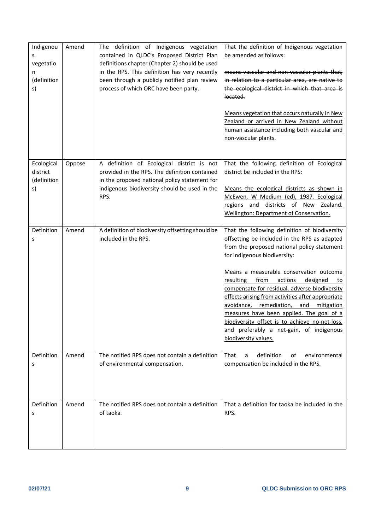| Indigenou<br>s<br>vegetatio<br>n<br>(definition<br>s) | Amend  | The definition of Indigenous vegetation<br>contained in QLDC's Proposed District Plan<br>definitions chapter (Chapter 2) should be used<br>in the RPS. This definition has very recently<br>been through a publicly notified plan review<br>process of which ORC have been party. | That the definition of Indigenous vegetation<br>be amended as follows:<br>means vascular and non-vascular plants that,<br>in relation to a particular area, are native to<br>the ecological district in which that area is<br>located.<br>Means vegetation that occurs naturally in New<br>Zealand or arrived in New Zealand without<br>human assistance including both vascular and<br>non-vascular plants.                                                                                                                                                                                       |
|-------------------------------------------------------|--------|-----------------------------------------------------------------------------------------------------------------------------------------------------------------------------------------------------------------------------------------------------------------------------------|----------------------------------------------------------------------------------------------------------------------------------------------------------------------------------------------------------------------------------------------------------------------------------------------------------------------------------------------------------------------------------------------------------------------------------------------------------------------------------------------------------------------------------------------------------------------------------------------------|
| Ecological<br>district<br>(definition<br>s)           | Oppose | A definition of Ecological district is not<br>provided in the RPS. The definition contained<br>in the proposed national policy statement for<br>indigenous biodiversity should be used in the<br>RPS.                                                                             | That the following definition of Ecological<br>district be included in the RPS:<br>Means the ecological districts as shown in<br>McEwen, W Medium (ed), 1987. Ecological<br>regions and districts of New Zealand.<br><b>Wellington: Department of Conservation.</b>                                                                                                                                                                                                                                                                                                                                |
| Definition<br>s                                       | Amend  | A definition of biodiversity offsetting should be<br>included in the RPS.                                                                                                                                                                                                         | That the following definition of biodiversity<br>offsetting be included in the RPS as adapted<br>from the proposed national policy statement<br>for indigenous biodiversity:<br>Means a measurable conservation outcome<br>resulting<br>from<br>actions<br>designed<br>to<br>compensate for residual, adverse biodiversity<br>effects arising from activities after appropriate<br>avoidance, remediation,<br>and<br>mitigation<br>measures have been applied. The goal of a<br>biodiversity offset is to achieve no-net-loss,<br>and preferably a net-gain, of indigenous<br>biodiversity values. |
| Definition<br>S                                       | Amend  | The notified RPS does not contain a definition<br>of environmental compensation.                                                                                                                                                                                                  | definition<br>That<br>of<br>environmental<br>a<br>compensation be included in the RPS.                                                                                                                                                                                                                                                                                                                                                                                                                                                                                                             |
| Definition<br>S                                       | Amend  | The notified RPS does not contain a definition<br>of taoka.                                                                                                                                                                                                                       | That a definition for taoka be included in the<br>RPS.                                                                                                                                                                                                                                                                                                                                                                                                                                                                                                                                             |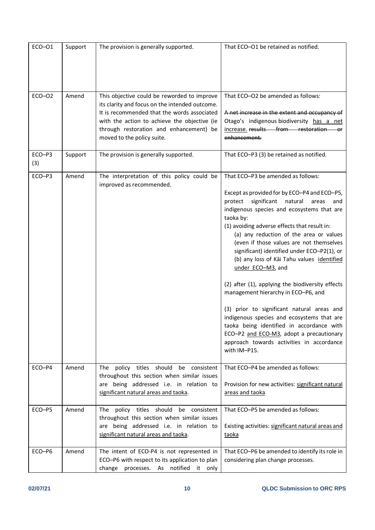| ECO-01        | Support | The provision is generally supported.                                                                                                                                                                                                                                 | That ECO-O1 be retained as notified.                                                                                                                                                                                                                                                                                                                                                                                                                                                                                                                                                                                                                                                                                                                                                                     |
|---------------|---------|-----------------------------------------------------------------------------------------------------------------------------------------------------------------------------------------------------------------------------------------------------------------------|----------------------------------------------------------------------------------------------------------------------------------------------------------------------------------------------------------------------------------------------------------------------------------------------------------------------------------------------------------------------------------------------------------------------------------------------------------------------------------------------------------------------------------------------------------------------------------------------------------------------------------------------------------------------------------------------------------------------------------------------------------------------------------------------------------|
| $ECO-O2$      | Amend   | This objective could be reworded to improve<br>its clarity and focus on the intended outcome.<br>It is recommended that the words associated<br>with the action to achieve the objective (ie<br>through restoration and enhancement) be<br>moved to the policy suite. | That ECO-O2 be amended as follows:<br>A net increase in the extent and occupancy of<br>Otago's indigenous biodiversity has a net<br>increase. results from restoration<br>enhancement.                                                                                                                                                                                                                                                                                                                                                                                                                                                                                                                                                                                                                   |
| ECO-P3<br>(3) | Support | The provision is generally supported.                                                                                                                                                                                                                                 | That ECO-P3 (3) be retained as notified.                                                                                                                                                                                                                                                                                                                                                                                                                                                                                                                                                                                                                                                                                                                                                                 |
| ECO-P3        | Amend   | The interpretation of this policy could be<br>improved as recommended.                                                                                                                                                                                                | That ECO-P3 be amended as follows:<br>Except as provided for by ECO-P4 and ECO-P5,<br>significant<br>natural<br>protect<br>areas<br>and<br>indigenous species and ecosystems that are<br>taoka by:<br>(1) avoiding adverse effects that result in:<br>(a) any reduction of the area or values<br>(even if those values are not themselves<br>significant) identified under ECO-P2(1), or<br>(b) any loss of Kai Tahu values identified<br>under ECO-M3, and<br>(2) after (1), applying the biodiversity effects<br>management hierarchy in ECO-P6, and<br>(3) prior to significant natural areas and<br>indigenous species and ecosystems that are<br>taoka being identified in accordance with<br>ECO-P2 and ECO-M3, adopt a precautionary<br>approach towards activities in accordance<br>with IM-P15. |
| ECO-P4        | Amend   | The policy titles should be consistent<br>throughout this section when similar issues<br>are being addressed i.e. in relation to<br>significant natural areas and taoka.                                                                                              | That ECO-P4 be amended as follows:<br>Provision for new activities: significant natural<br>areas and taoka                                                                                                                                                                                                                                                                                                                                                                                                                                                                                                                                                                                                                                                                                               |
| ECO-P5        | Amend   | The policy titles should be consistent<br>throughout this section when similar issues<br>are being addressed i.e. in relation to<br>significant natural areas and taoka.                                                                                              | That ECO-P5 be amended as follows:<br>Existing activities: significant natural areas and<br><u>taoka</u>                                                                                                                                                                                                                                                                                                                                                                                                                                                                                                                                                                                                                                                                                                 |
| ECO-P6        | Amend   | The intent of ECO-P4 is not represented in<br>ECO-P6 with respect to its application to plan<br>change<br>processes. As notified it only                                                                                                                              | That ECO-P6 be amended to identify its role in<br>considering plan change processes.                                                                                                                                                                                                                                                                                                                                                                                                                                                                                                                                                                                                                                                                                                                     |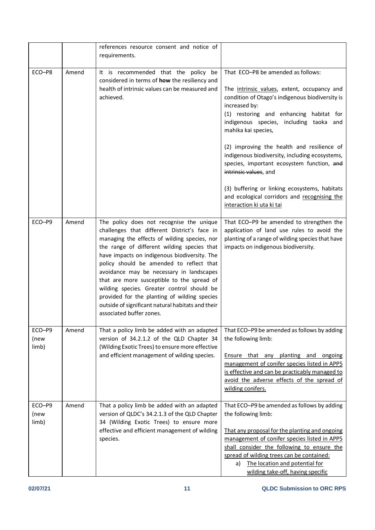|                         |       | references resource consent and notice of<br>requirements.                                                                                                                                                                                                                                                                                                                                                                                                                                                                                                   |                                                                                                                                                                                                                                                                                                                                                                                                                                                                                                                                                                         |
|-------------------------|-------|--------------------------------------------------------------------------------------------------------------------------------------------------------------------------------------------------------------------------------------------------------------------------------------------------------------------------------------------------------------------------------------------------------------------------------------------------------------------------------------------------------------------------------------------------------------|-------------------------------------------------------------------------------------------------------------------------------------------------------------------------------------------------------------------------------------------------------------------------------------------------------------------------------------------------------------------------------------------------------------------------------------------------------------------------------------------------------------------------------------------------------------------------|
| ECO-P8                  | Amend | It is recommended that the policy be<br>considered in terms of how the resiliency and<br>health of intrinsic values can be measured and<br>achieved.                                                                                                                                                                                                                                                                                                                                                                                                         | That ECO-P8 be amended as follows:<br>The intrinsic values, extent, occupancy and<br>condition of Otago's indigenous biodiversity is<br>increased by:<br>(1) restoring and enhancing habitat for<br>indigenous species, including taoka and<br>mahika kai species,<br>(2) improving the health and resilience of<br>indigenous biodiversity, including ecosystems,<br>species, important ecosystem function, and<br>intrinsic values, and<br>(3) buffering or linking ecosystems, habitats<br>and ecological corridors and recognising the<br>interaction ki uta ki tai |
| ECO-P9                  | Amend | The policy does not recognise the unique<br>challenges that different District's face in<br>managing the effects of wilding species, nor<br>the range of different wilding species that<br>have impacts on indigenous biodiversity. The<br>policy should be amended to reflect that<br>avoidance may be necessary in landscapes<br>that are more susceptible to the spread of<br>wilding species. Greater control should be<br>provided for the planting of wilding species<br>outside of significant natural habitats and their<br>associated buffer zones. | That ECO-P9 be amended to strengthen the<br>application of land use rules to avoid the<br>planting of a range of wilding species that have<br>impacts on indigenous biodiversity.                                                                                                                                                                                                                                                                                                                                                                                       |
| ECO-P9<br>(new<br>limb) | Amend | That a policy limb be added with an adapted<br>version of 34.2.1.2 of the QLD Chapter 34<br>(Wilding Exotic Trees) to ensure more effective<br>and efficient management of wilding species.                                                                                                                                                                                                                                                                                                                                                                  | That ECO-P9 be amended as follows by adding<br>the following limb:<br>Ensure that any planting and<br>ongoing<br>management of conifer species listed in APP5<br>is effective and can be practicably managed to<br>avoid the adverse effects of the spread of<br>wilding conifers.                                                                                                                                                                                                                                                                                      |
| ECO-P9<br>(new<br>limb) | Amend | That a policy limb be added with an adapted<br>version of QLDC's 34.2.1.3 of the QLD Chapter<br>34 (Wilding Exotic Trees) to ensure more<br>effective and efficient management of wilding<br>species.                                                                                                                                                                                                                                                                                                                                                        | That ECO-P9 be amended as follows by adding<br>the following limb:<br>That any proposal for the planting and ongoing<br>management of conifer species listed in APP5<br>shall consider the following to ensure the<br>spread of wilding trees can be contained:<br>The location and potential for<br>a)<br>wilding take-off, having specific                                                                                                                                                                                                                            |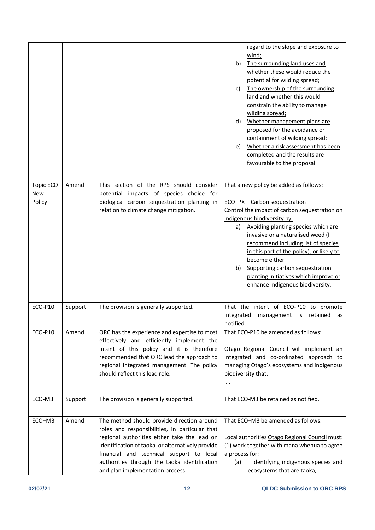|                            |         |                                                                                                                                                                                                                                                                                                                                   | regard to the slope and exposure to<br>wind;<br>The surrounding land uses and<br>b)<br>whether these would reduce the<br>potential for wilding spread;<br>The ownership of the surrounding<br>C)<br>land and whether this would<br>constrain the ability to manage<br>wilding spread;<br>Whether management plans are<br>d)<br>proposed for the avoidance or<br>containment of wilding spread;<br>Whether a risk assessment has been<br>e)<br>completed and the results are<br>favourable to the proposal |
|----------------------------|---------|-----------------------------------------------------------------------------------------------------------------------------------------------------------------------------------------------------------------------------------------------------------------------------------------------------------------------------------|-----------------------------------------------------------------------------------------------------------------------------------------------------------------------------------------------------------------------------------------------------------------------------------------------------------------------------------------------------------------------------------------------------------------------------------------------------------------------------------------------------------|
| Topic ECO<br>New<br>Policy | Amend   | This section of the RPS should consider<br>potential impacts of species choice for<br>biological carbon sequestration planting in<br>relation to climate change mitigation.                                                                                                                                                       | That a new policy be added as follows:<br>ECO-PX - Carbon sequestration<br>Control the impact of carbon sequestration on<br>indigenous biodiversity by:<br>Avoiding planting species which are<br>a)<br>invasive or a naturalised weed (I<br>recommend including list of species<br>in this part of the policy), or likely to<br>become either<br>Supporting carbon sequestration<br>b)<br>planting initiatives which improve or<br>enhance indigenous biodiversity.                                      |
| ECO-P10                    | Support | The provision is generally supported.                                                                                                                                                                                                                                                                                             | That the intent of ECO-P10 to promote<br>integrated<br>management is retained<br>as<br>notified.                                                                                                                                                                                                                                                                                                                                                                                                          |
| ECO-P10                    | Amend   | ORC has the experience and expertise to most<br>effectively and efficiently implement the<br>intent of this policy and it is therefore<br>recommended that ORC lead the approach to<br>regional integrated management. The policy<br>should reflect this lead role.                                                               | That ECO-P10 be amended as follows:<br>Otago Regional Council will implement an<br>integrated and co-ordinated approach to<br>managing Otago's ecosystems and indigenous<br>biodiversity that:<br>$\cdots$                                                                                                                                                                                                                                                                                                |
| ECO-M3                     | Support | The provision is generally supported.                                                                                                                                                                                                                                                                                             | That ECO-M3 be retained as notified.                                                                                                                                                                                                                                                                                                                                                                                                                                                                      |
| ECO-M3                     | Amend   | The method should provide direction around<br>roles and responsibilities, in particular that<br>regional authorities either take the lead on<br>identification of taoka, or alternatively provide<br>financial and technical support to local<br>authorities through the taoka identification<br>and plan implementation process. | That ECO-M3 be amended as follows:<br>Local authorities Otago Regional Council must:<br>(1) work together with mana whenua to agree<br>a process for:<br>identifying indigenous species and<br>(a)<br>ecosystems that are taoka,                                                                                                                                                                                                                                                                          |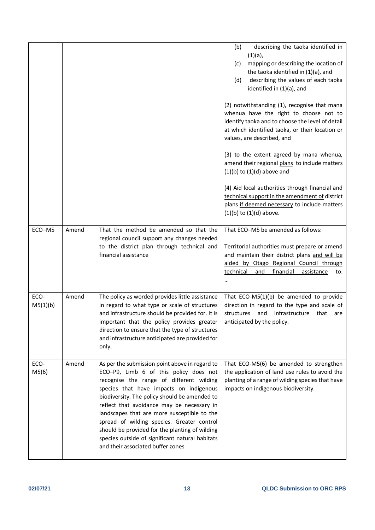|                  |       |                                                                                                                                                                                                                                                                                                                                                                                                                                                                                                                       | describing the taoka identified in<br>(b)<br>$(1)(a)$ ,<br>mapping or describing the location of<br>(c)<br>the taoka identified in (1)(a), and<br>describing the values of each taoka<br>(d)<br>identified in (1)(a), and<br>(2) notwithstanding (1), recognise that mana |
|------------------|-------|-----------------------------------------------------------------------------------------------------------------------------------------------------------------------------------------------------------------------------------------------------------------------------------------------------------------------------------------------------------------------------------------------------------------------------------------------------------------------------------------------------------------------|---------------------------------------------------------------------------------------------------------------------------------------------------------------------------------------------------------------------------------------------------------------------------|
|                  |       |                                                                                                                                                                                                                                                                                                                                                                                                                                                                                                                       | whenua have the right to choose not to<br>identify taoka and to choose the level of detail<br>at which identified taoka, or their location or<br>values, are described, and                                                                                               |
|                  |       |                                                                                                                                                                                                                                                                                                                                                                                                                                                                                                                       | (3) to the extent agreed by mana whenua,<br>amend their regional plans to include matters<br>$(1)(b)$ to $(1)(d)$ above and                                                                                                                                               |
|                  |       |                                                                                                                                                                                                                                                                                                                                                                                                                                                                                                                       | (4) Aid local authorities through financial and<br>technical support in the amendment of district<br>plans if deemed necessary to include matters<br>$(1)(b)$ to $(1)(d)$ above.                                                                                          |
| ECO-M5           | Amend | That the method be amended so that the<br>regional council support any changes needed<br>to the district plan through technical and<br>financial assistance                                                                                                                                                                                                                                                                                                                                                           | That ECO-M5 be amended as follows:<br>Territorial authorities must prepare or amend<br>and maintain their district plans and will be<br>aided by Otago Regional Council through<br>financial<br>technical<br>and<br>assistance<br>to:                                     |
| ECO-<br>M5(1)(b) | Amend | The policy as worded provides little assistance<br>in regard to what type or scale of structures<br>and infrastructure should be provided for. It is<br>important that the policy provides greater<br>direction to ensure that the type of structures<br>and infrastructure anticipated are provided for<br>only.                                                                                                                                                                                                     | That $ECO-M5(1)(b)$ be amended to provide<br>direction in regard to the type and scale of<br>and<br>infrastructure<br>structures<br>that<br>are<br>anticipated by the policy.                                                                                             |
| ECO-<br>M5(6)    | Amend | As per the submission point above in regard to<br>ECO-P9, Limb 6 of this policy does not<br>recognise the range of different wilding<br>species that have impacts on indigenous<br>biodiversity. The policy should be amended to<br>reflect that avoidance may be necessary in<br>landscapes that are more susceptible to the<br>spread of wilding species. Greater control<br>should be provided for the planting of wilding<br>species outside of significant natural habitats<br>and their associated buffer zones | That ECO-M5(6) be amended to strengthen<br>the application of land use rules to avoid the<br>planting of a range of wilding species that have<br>impacts on indigenous biodiversity.                                                                                      |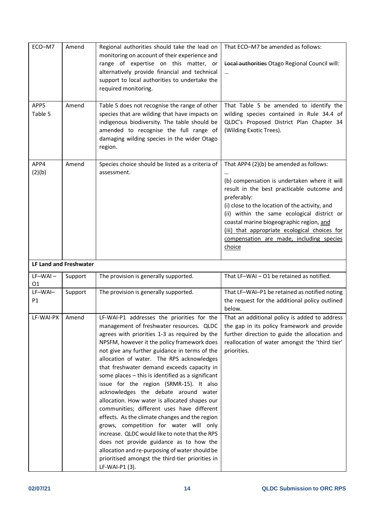| ECO-M7           | Amend                  | Regional authorities should take the lead on<br>monitoring on account of their experience and<br>range of expertise on this matter, or<br>alternatively provide financial and technical<br>support to local authorities to undertake the<br>required monitoring.                                                                                                                                                                                                                                                                                                                                                                                                                                                                                                                                                     | That ECO-M7 be amended as follows:<br>Local authorities Otago Regional Council will:<br>$\cdots$                                                                                                                                                                                                                                                                                                         |
|------------------|------------------------|----------------------------------------------------------------------------------------------------------------------------------------------------------------------------------------------------------------------------------------------------------------------------------------------------------------------------------------------------------------------------------------------------------------------------------------------------------------------------------------------------------------------------------------------------------------------------------------------------------------------------------------------------------------------------------------------------------------------------------------------------------------------------------------------------------------------|----------------------------------------------------------------------------------------------------------------------------------------------------------------------------------------------------------------------------------------------------------------------------------------------------------------------------------------------------------------------------------------------------------|
| APP5<br>Table 5  | Amend                  | Table 5 does not recognise the range of other<br>species that are wilding that have impacts on<br>indigenous biodiversity. The table should be<br>amended to recognise the full range of<br>damaging wilding species in the wider Otago<br>region.                                                                                                                                                                                                                                                                                                                                                                                                                                                                                                                                                                   | That Table 5 be amended to identify the<br>wilding species contained in Rule 34.4 of<br>QLDC's Proposed District Plan Chapter 34<br>(Wilding Exotic Trees).                                                                                                                                                                                                                                              |
| APP4<br>(2)(b)   | Amend                  | Species choice should be listed as a criteria of<br>assessment.                                                                                                                                                                                                                                                                                                                                                                                                                                                                                                                                                                                                                                                                                                                                                      | That APP4 (2)(b) be amended as follows:<br>(b) compensation is undertaken where it will<br>result in the best practicable outcome and<br>preferably:<br>(i) close to the location of the activity, and<br>(ii) within the same ecological district or<br>coastal marine biogeographic region, and<br>(iii) that appropriate ecological choices for<br>compensation are made, including species<br>choice |
|                  | LF Land and Freshwater |                                                                                                                                                                                                                                                                                                                                                                                                                                                                                                                                                                                                                                                                                                                                                                                                                      |                                                                                                                                                                                                                                                                                                                                                                                                          |
| $LF-WAI -$<br>01 | Support                | The provision is generally supported.                                                                                                                                                                                                                                                                                                                                                                                                                                                                                                                                                                                                                                                                                                                                                                                | That LF-WAI - O1 be retained as notified.                                                                                                                                                                                                                                                                                                                                                                |
| LF-WAI-<br>P1    | Support                | The provision is generally supported.                                                                                                                                                                                                                                                                                                                                                                                                                                                                                                                                                                                                                                                                                                                                                                                | That LF-WAI-P1 be retained as notified noting<br>the request for the additional policy outlined<br>below.                                                                                                                                                                                                                                                                                                |
| LF-WAI-PX        | Amend                  | LF-WAI-P1 addresses the priorities for the<br>management of freshwater resources. QLDC<br>agrees with priorities 1-3 as required by the<br>NPSFM, however it the policy framework does<br>not give any further guidance in terms of the<br>allocation of water. The RPS acknowledges<br>that freshwater demand exceeds capacity in<br>some places - this is identified as a significant<br>issue for the region (SRMR-15). It also<br>acknowledges the debate around water<br>allocation. How water is allocated shapes our<br>communities; different uses have different<br>effects. As the climate changes and the region<br>grows, competition for water will only<br>increase. QLDC would like to note that the RPS<br>does not provide guidance as to how the<br>allocation and re-purposing of water should be | That an additional policy is added to address<br>the gap in its policy framework and provide<br>further direction to guide the allocation and<br>reallocation of water amongst the 'third tier'<br>priorities.                                                                                                                                                                                           |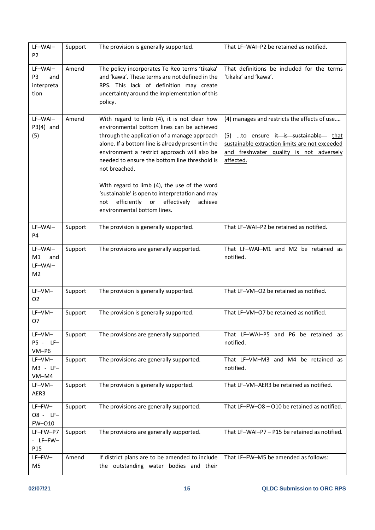| LF-WAI-<br>P <sub>2</sub>                              | Support | The provision is generally supported.                                                                                                                                                                                                                                                                                                                             | That LF-WAI-P2 be retained as notified.                                                                                                                                                        |
|--------------------------------------------------------|---------|-------------------------------------------------------------------------------------------------------------------------------------------------------------------------------------------------------------------------------------------------------------------------------------------------------------------------------------------------------------------|------------------------------------------------------------------------------------------------------------------------------------------------------------------------------------------------|
| LF-WAI-<br>P <sub>3</sub><br>and<br>interpreta<br>tion | Amend   | The policy incorporates Te Reo terms 'tikaka'<br>and 'kawa'. These terms are not defined in the<br>RPS. This lack of definition may create<br>uncertainty around the implementation of this<br>policy.                                                                                                                                                            | That definitions be included for the terms<br>'tikaka' and 'kawa'.                                                                                                                             |
| LF-WAI-<br>$P3(4)$ and<br>(5)                          | Amend   | With regard to limb (4), it is not clear how<br>environmental bottom lines can be achieved<br>through the application of a manage approach<br>alone. If a bottom line is already present in the<br>environment a restrict approach will also be<br>needed to ensure the bottom line threshold is<br>not breached.<br>With regard to limb (4), the use of the word | (4) manages and restricts the effects of use<br>(5) to ensure it is sustainable that<br>sustainable extraction limits are not exceeded<br>and freshwater quality is not adversely<br>affected. |
|                                                        |         | 'sustainable' is open to interpretation and may<br>efficiently<br>effectively<br>or<br>achieve<br>not<br>environmental bottom lines.                                                                                                                                                                                                                              |                                                                                                                                                                                                |
| LF-WAI-<br>P <sub>4</sub>                              | Support | The provision is generally supported.                                                                                                                                                                                                                                                                                                                             | That LF-WAI-P2 be retained as notified.                                                                                                                                                        |
| LF-WAI-<br>M1<br>and<br>LF-WAI-<br>M <sub>2</sub>      | Support | The provisions are generally supported.                                                                                                                                                                                                                                                                                                                           | That LF-WAI-M1 and M2 be retained as<br>notified.                                                                                                                                              |
| LF–VM–<br>02                                           | Support | The provision is generally supported.                                                                                                                                                                                                                                                                                                                             | That LF-VM-O2 be retained as notified.                                                                                                                                                         |
| LF-VM-<br>07                                           | Support | The provision is generally supported.                                                                                                                                                                                                                                                                                                                             | That LF-VM-O7 be retained as notified.                                                                                                                                                         |
| LF-VM-<br>P5 - LF-<br>$VM-P6$                          | Support | The provisions are generally supported.                                                                                                                                                                                                                                                                                                                           | That LF-WAI-P5 and P6 be retained as<br>notified.                                                                                                                                              |
| LF–VM–<br>M3 - LF-<br>VM-M4                            | Support | The provisions are generally supported.                                                                                                                                                                                                                                                                                                                           | That LF-VM-M3 and M4 be retained as<br>notified.                                                                                                                                               |
| LF–VM–<br>AER3                                         | Support | The provision is generally supported.                                                                                                                                                                                                                                                                                                                             | That LF-VM-AER3 be retained as notified.                                                                                                                                                       |
| $LF-FW-$<br>08 - LF-<br>FW-010                         | Support | The provisions are generally supported.                                                                                                                                                                                                                                                                                                                           | That LF-FW-O8 - O10 be retained as notified.                                                                                                                                                   |
| LF-FW-P7<br>- LF-FW-<br>P <sub>15</sub>                | Support | The provisions are generally supported.                                                                                                                                                                                                                                                                                                                           | That LF-WAI-P7 - P15 be retained as notified.                                                                                                                                                  |
| $LF-FW-$<br>M5                                         | Amend   | If district plans are to be amended to include<br>the outstanding water bodies and their                                                                                                                                                                                                                                                                          | That LF-FW-M5 be amended as follows:                                                                                                                                                           |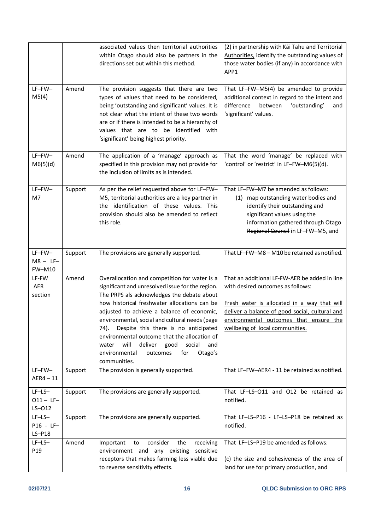|                                          |         | associated values then territorial authorities<br>within Otago should also be partners in the<br>directions set out within this method.                                                                                                                                                                                                                                                                                                                                                                             | (2) in partnership with Kai Tahu and Territorial<br>Authorities, identify the outstanding values of<br>those water bodies (if any) in accordance with<br>APP1                                                                                                    |
|------------------------------------------|---------|---------------------------------------------------------------------------------------------------------------------------------------------------------------------------------------------------------------------------------------------------------------------------------------------------------------------------------------------------------------------------------------------------------------------------------------------------------------------------------------------------------------------|------------------------------------------------------------------------------------------------------------------------------------------------------------------------------------------------------------------------------------------------------------------|
| $LF-FW-$<br>M5(4)                        | Amend   | The provision suggests that there are two<br>types of values that need to be considered,<br>being 'outstanding and significant' values. It is<br>not clear what the intent of these two words<br>are or if there is intended to be a hierarchy of<br>values that are to be identified with<br>'significant' being highest priority.                                                                                                                                                                                 | That LF-FW-M5(4) be amended to provide<br>additional context in regard to the intent and<br>difference<br>between<br>'outstanding'<br>and<br>'significant' values.                                                                                               |
| LF-FW-<br>M6(5)(d)                       | Amend   | The application of a 'manage' approach as<br>specified in this provision may not provide for<br>the inclusion of limits as is intended.                                                                                                                                                                                                                                                                                                                                                                             | That the word 'manage' be replaced with<br>'control' or 'restrict' in LF-FW-M6(5)(d).                                                                                                                                                                            |
| LF-FW-<br>M7                             | Support | As per the relief requested above for LF-FW-<br>M5, territorial authorities are a key partner in<br>the identification of these values. This<br>provision should also be amended to reflect<br>this role.                                                                                                                                                                                                                                                                                                           | That LF-FW-M7 be amended as follows:<br>(1) map outstanding water bodies and<br>identify their outstanding and<br>significant values using the<br>information gathered through Otago<br>Regional Council in LF-FW-M5, and                                        |
| $LF-FW-$<br>$M8 - LF -$<br><b>FW-M10</b> | Support | The provisions are generally supported.                                                                                                                                                                                                                                                                                                                                                                                                                                                                             | That LF-FW-M8 - M10 be retained as notified.                                                                                                                                                                                                                     |
| LF-FW<br><b>AER</b><br>section           | Amend   | Overallocation and competition for water is a<br>significant and unresolved issue for the region.<br>The PRPS als acknowledges the debate about<br>how historical freshwater allocations can be<br>adjusted to achieve a balance of economic,<br>environmental, social and cultural needs (page<br>Despite this there is no anticipated<br>74).<br>environmental outcome that the allocation of<br>will<br>deliver<br>good<br>social<br>water<br>and<br>for<br>Otago's<br>environmental<br>outcomes<br>communities. | That an additional LF-FW-AER be added in line<br>with desired outcomes as follows:<br>Fresh water is allocated in a way that will<br>deliver a balance of good social, cultural and<br>environmental outcomes that ensure the<br>wellbeing of local communities. |
| $LF-FW-$<br>$AER4 - 11$                  | Support | The provision is generally supported.                                                                                                                                                                                                                                                                                                                                                                                                                                                                               | That LF-FW-AER4 - 11 be retained as notified.                                                                                                                                                                                                                    |
| $LF-LS-$<br>$011 - LF -$<br>$LS-012$     | Support | The provisions are generally supported.                                                                                                                                                                                                                                                                                                                                                                                                                                                                             | That LF-LS-O11 and O12 be retained as<br>notified.                                                                                                                                                                                                               |
| $LF-LS-$<br>P16 - LF-<br>$LS-P18$        | Support | The provisions are generally supported.                                                                                                                                                                                                                                                                                                                                                                                                                                                                             | That LF-LS-P16 - LF-LS-P18 be retained as<br>notified.                                                                                                                                                                                                           |
| $LF-LS-$<br>P <sub>19</sub>              | Amend   | consider<br>Important<br>to<br>the<br>receiving<br>environment and any existing<br>sensitive<br>receptors that makes farming less viable due<br>to reverse sensitivity effects.                                                                                                                                                                                                                                                                                                                                     | That LF-LS-P19 be amended as follows:<br>(c) the size and cohesiveness of the area of<br>land for use for primary production, and                                                                                                                                |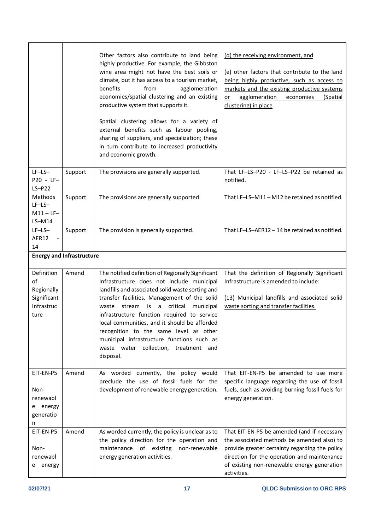|                                                                     |                                  | Other factors also contribute to land being<br>highly productive. For example, the Gibbston<br>wine area might not have the best soils or<br>climate, but it has access to a tourism market,<br>benefits<br>from<br>agglomeration<br>economies/spatial clustering and an existing<br>productive system that supports it.<br>Spatial clustering allows for a variety of<br>external benefits such as labour pooling,<br>sharing of suppliers, and specialization; these<br>in turn contribute to increased productivity<br>and economic growth. | (d) the receiving environment, and<br>(e) other factors that contribute to the land<br>being highly productive, such as access to<br>markets and the existing productive systems<br>agglomeration<br>economies<br>(Spatial<br>or<br>clustering) in place |
|---------------------------------------------------------------------|----------------------------------|------------------------------------------------------------------------------------------------------------------------------------------------------------------------------------------------------------------------------------------------------------------------------------------------------------------------------------------------------------------------------------------------------------------------------------------------------------------------------------------------------------------------------------------------|----------------------------------------------------------------------------------------------------------------------------------------------------------------------------------------------------------------------------------------------------------|
| $LF-LS-$<br>P20 - LF-<br>$LS-P22$                                   | Support                          | The provisions are generally supported.                                                                                                                                                                                                                                                                                                                                                                                                                                                                                                        | That LF-LS-P20 - LF-LS-P22 be retained as<br>notified.                                                                                                                                                                                                   |
| Methods<br>$LF-LS-$<br>$M11 - LF -$<br>$LS-M14$                     | Support                          | The provisions are generally supported.                                                                                                                                                                                                                                                                                                                                                                                                                                                                                                        | That LF-LS-M11 - M12 be retained as notified.                                                                                                                                                                                                            |
| $LF-LS-$<br>AER12<br>$\overline{\phantom{a}}$<br>14                 | Support                          | The provision is generally supported.                                                                                                                                                                                                                                                                                                                                                                                                                                                                                                          | That LF-LS-AER12-14 be retained as notified.                                                                                                                                                                                                             |
|                                                                     | <b>Energy and Infrastructure</b> |                                                                                                                                                                                                                                                                                                                                                                                                                                                                                                                                                |                                                                                                                                                                                                                                                          |
| Definition<br>of<br>Regionally<br>Significant<br>Infrastruc<br>ture | Amend                            | The notified definition of Regionally Significant<br>Infrastructure does not include municipal<br>landfills and associated solid waste sorting and<br>transfer facilities. Management of the solid<br>critical<br>waste<br>stream is a<br>municipal<br>infrastructure function required to service<br>local communities, and it should be afforded<br>recognition to the same level as other<br>municipal infrastructure functions such as<br>waste water collection, treatment and<br>disposal.                                               | That the definition of Regionally Significant<br>Infrastructure is amended to include:<br>(13) Municipal landfills and associated solid<br>waste sorting and transfer facilities.                                                                        |
| EIT-EN-P5<br>Non-<br>renewabl<br>e energy<br>generatio<br>n         | Amend                            | As worded currently, the policy would<br>preclude the use of fossil fuels for the<br>development of renewable energy generation.                                                                                                                                                                                                                                                                                                                                                                                                               | That EIT-EN-P5 be amended to use more<br>specific language regarding the use of fossil<br>fuels, such as avoiding burning fossil fuels for<br>energy generation.                                                                                         |
| EIT-EN-P5<br>Non-<br>renewabl<br>e energy                           | Amend                            | As worded currently, the policy is unclear as to<br>the policy direction for the operation and<br>maintenance of existing non-renewable<br>energy generation activities.                                                                                                                                                                                                                                                                                                                                                                       | That EIT-EN-P5 be amended (and if necessary<br>the associated methods be amended also) to<br>provide greater certainty regarding the policy<br>direction for the operation and maintenance<br>of existing non-renewable energy generation<br>activities. |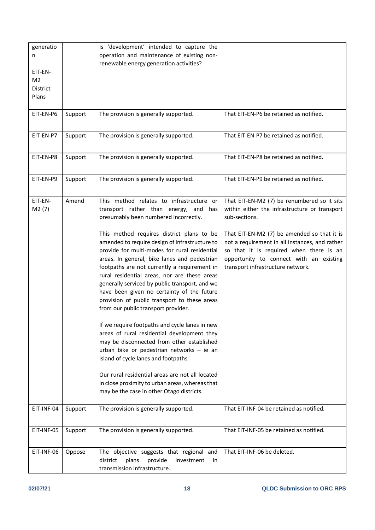| generatio<br>n<br>EIT-EN-<br>M <sub>2</sub><br><b>District</b><br>Plans<br>EIT-EN-P6<br>EIT-EN-P7 | Support<br>Support | Is 'development' intended to capture the<br>operation and maintenance of existing non-<br>renewable energy generation activities?<br>The provision is generally supported.<br>The provision is generally supported.                                                                                                                                                                                                                                                                                                                                                                                                                                                                                                                                                                                                                                                                                                                                                                                         | That EIT-EN-P6 be retained as notified.<br>That EIT-EN-P7 be retained as notified.                                                                                                                                                                                                                                                        |
|---------------------------------------------------------------------------------------------------|--------------------|-------------------------------------------------------------------------------------------------------------------------------------------------------------------------------------------------------------------------------------------------------------------------------------------------------------------------------------------------------------------------------------------------------------------------------------------------------------------------------------------------------------------------------------------------------------------------------------------------------------------------------------------------------------------------------------------------------------------------------------------------------------------------------------------------------------------------------------------------------------------------------------------------------------------------------------------------------------------------------------------------------------|-------------------------------------------------------------------------------------------------------------------------------------------------------------------------------------------------------------------------------------------------------------------------------------------------------------------------------------------|
| EIT-EN-P8                                                                                         | Support            | The provision is generally supported.                                                                                                                                                                                                                                                                                                                                                                                                                                                                                                                                                                                                                                                                                                                                                                                                                                                                                                                                                                       | That EIT-EN-P8 be retained as notified.                                                                                                                                                                                                                                                                                                   |
| EIT-EN-P9                                                                                         | Support            | The provision is generally supported.                                                                                                                                                                                                                                                                                                                                                                                                                                                                                                                                                                                                                                                                                                                                                                                                                                                                                                                                                                       | That EIT-EN-P9 be retained as notified.                                                                                                                                                                                                                                                                                                   |
| EIT-EN-<br>M2(7)                                                                                  | Amend              | This method relates to infrastructure or<br>transport rather than energy, and<br>has<br>presumably been numbered incorrectly.<br>This method requires district plans to be<br>amended to require design of infrastructure to<br>provide for multi-modes for rural residential<br>areas. In general, bike lanes and pedestrian<br>footpaths are not currently a requirement in<br>rural residential areas, nor are these areas<br>generally serviced by public transport, and we<br>have been given no certainty of the future<br>provision of public transport to these areas<br>from our public transport provider.<br>If we require footpaths and cycle lanes in new<br>areas of rural residential development they<br>may be disconnected from other established<br>urban bike or pedestrian networks - ie an<br>island of cycle lanes and footpaths.<br>Our rural residential areas are not all located<br>in close proximity to urban areas, whereas that<br>may be the case in other Otago districts. | That EIT-EN-M2 (7) be renumbered so it sits<br>within either the infrastructure or transport<br>sub-sections.<br>That EIT-EN-M2 (7) be amended so that it is<br>not a requirement in all instances, and rather<br>so that it is required when there is an<br>opportunity to connect with an existing<br>transport infrastructure network. |
| EIT-INF-04<br>EIT-INF-05                                                                          | Support<br>Support | The provision is generally supported.<br>The provision is generally supported.                                                                                                                                                                                                                                                                                                                                                                                                                                                                                                                                                                                                                                                                                                                                                                                                                                                                                                                              | That EIT-INF-04 be retained as notified.<br>That EIT-INF-05 be retained as notified.                                                                                                                                                                                                                                                      |
|                                                                                                   |                    |                                                                                                                                                                                                                                                                                                                                                                                                                                                                                                                                                                                                                                                                                                                                                                                                                                                                                                                                                                                                             |                                                                                                                                                                                                                                                                                                                                           |
| EIT-INF-06                                                                                        | Oppose             | The objective suggests that regional and<br>plans<br>provide<br>district<br>investment<br>in.<br>transmission infrastructure.                                                                                                                                                                                                                                                                                                                                                                                                                                                                                                                                                                                                                                                                                                                                                                                                                                                                               | That EIT-INF-06 be deleted.                                                                                                                                                                                                                                                                                                               |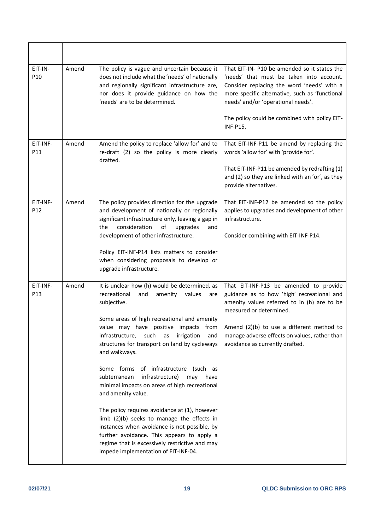| EIT-IN-<br>P <sub>10</sub> | Amend | The policy is vague and uncertain because it<br>does not include what the 'needs' of nationally<br>and regionally significant infrastructure are,<br>nor does it provide guidance on how the<br>'needs' are to be determined.                                                                                                                                                                                                                                                                                                                                                                                                                                                                                                                                                           | That EIT-IN- P10 be amended so it states the<br>'needs' that must be taken into account.<br>Consider replacing the word 'needs' with a<br>more specific alternative, such as 'functional<br>needs' and/or 'operational needs'.<br>The policy could be combined with policy EIT-<br><b>INF-P15.</b> |
|----------------------------|-------|-----------------------------------------------------------------------------------------------------------------------------------------------------------------------------------------------------------------------------------------------------------------------------------------------------------------------------------------------------------------------------------------------------------------------------------------------------------------------------------------------------------------------------------------------------------------------------------------------------------------------------------------------------------------------------------------------------------------------------------------------------------------------------------------|----------------------------------------------------------------------------------------------------------------------------------------------------------------------------------------------------------------------------------------------------------------------------------------------------|
| EIT-INF-<br>P11            | Amend | Amend the policy to replace 'allow for' and to<br>re-draft (2) so the policy is more clearly<br>drafted.                                                                                                                                                                                                                                                                                                                                                                                                                                                                                                                                                                                                                                                                                | That EIT-INF-P11 be amend by replacing the<br>words 'allow for' with 'provide for'.<br>That EIT-INF-P11 be amended by redrafting (1)<br>and (2) so they are linked with an 'or', as they<br>provide alternatives.                                                                                  |
| EIT-INF-<br>P12            | Amend | The policy provides direction for the upgrade<br>and development of nationally or regionally<br>significant infrastructure only, leaving a gap in<br>consideration<br>upgrades<br>the<br>of<br>and<br>development of other infrastructure.<br>Policy EIT-INF-P14 lists matters to consider<br>when considering proposals to develop or<br>upgrade infrastructure.                                                                                                                                                                                                                                                                                                                                                                                                                       | That EIT-INF-P12 be amended so the policy<br>applies to upgrades and development of other<br>infrastructure.<br>Consider combining with EIT-INF-P14.                                                                                                                                               |
| EIT-INF-<br>P13            | Amend | It is unclear how (h) would be determined, as<br>recreational<br>and<br>amenity<br>values<br>are<br>subjective.<br>Some areas of high recreational and amenity<br>value may have positive impacts from<br>infrastructure,<br>such<br>irrigation<br>as<br>and<br>structures for transport on land by cycleways<br>and walkways.<br>Some forms of infrastructure (such as<br>subterranean<br>infrastructure)<br>may<br>have<br>minimal impacts on areas of high recreational<br>and amenity value.<br>The policy requires avoidance at (1), however<br>limb (2)(b) seeks to manage the effects in<br>instances when avoidance is not possible, by<br>further avoidance. This appears to apply a<br>regime that is excessively restrictive and may<br>impede implementation of EIT-INF-04. | That EIT-INF-P13 be amended to provide<br>guidance as to how 'high' recreational and<br>amenity values referred to in (h) are to be<br>measured or determined.<br>Amend (2)(b) to use a different method to<br>manage adverse effects on values, rather than<br>avoidance as currently drafted.    |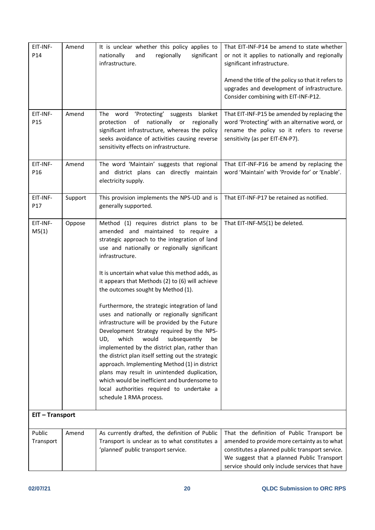| EIT-INF-<br>P14             | Amend   | It is unclear whether this policy applies to<br>nationally<br>and<br>regionally<br>significant<br>infrastructure.                                                                                                                                                                                                                                                                                                                                                                                                                                                                                                                                                                                                                                                                                                                                                                                                              | That EIT-INF-P14 be amend to state whether<br>or not it applies to nationally and regionally<br>significant infrastructure.<br>Amend the title of the policy so that it refers to<br>upgrades and development of infrastructure.<br>Consider combining with EIT-INF-P12. |
|-----------------------------|---------|--------------------------------------------------------------------------------------------------------------------------------------------------------------------------------------------------------------------------------------------------------------------------------------------------------------------------------------------------------------------------------------------------------------------------------------------------------------------------------------------------------------------------------------------------------------------------------------------------------------------------------------------------------------------------------------------------------------------------------------------------------------------------------------------------------------------------------------------------------------------------------------------------------------------------------|--------------------------------------------------------------------------------------------------------------------------------------------------------------------------------------------------------------------------------------------------------------------------|
| EIT-INF-<br>P <sub>15</sub> | Amend   | The word<br>'Protecting' suggests blanket<br>nationally or<br>protection<br>of<br>regionally<br>significant infrastructure, whereas the policy<br>seeks avoidance of activities causing reverse<br>sensitivity effects on infrastructure.                                                                                                                                                                                                                                                                                                                                                                                                                                                                                                                                                                                                                                                                                      | That EIT-INF-P15 be amended by replacing the<br>word 'Protecting' with an alternative word, or<br>rename the policy so it refers to reverse<br>sensitivity (as per EIT-EN-P7).                                                                                           |
| EIT-INF-<br>P <sub>16</sub> | Amend   | The word 'Maintain' suggests that regional<br>and district plans can directly maintain<br>electricity supply.                                                                                                                                                                                                                                                                                                                                                                                                                                                                                                                                                                                                                                                                                                                                                                                                                  | That EIT-INF-P16 be amend by replacing the<br>word 'Maintain' with 'Provide for' or 'Enable'.                                                                                                                                                                            |
| EIT-INF-<br>P17             | Support | This provision implements the NPS-UD and is<br>generally supported.                                                                                                                                                                                                                                                                                                                                                                                                                                                                                                                                                                                                                                                                                                                                                                                                                                                            | That EIT-INF-P17 be retained as notified.                                                                                                                                                                                                                                |
| EIT-INF-<br>M5(1)           | Oppose  | Method (1) requires district plans to be<br>amended and maintained to require a<br>strategic approach to the integration of land<br>use and nationally or regionally significant<br>infrastructure.<br>It is uncertain what value this method adds, as<br>it appears that Methods (2) to (6) will achieve<br>the outcomes sought by Method (1).<br>Furthermore, the strategic integration of land<br>uses and nationally or regionally significant<br>infrastructure will be provided by the Future<br>Development Strategy required by the NPS-<br>would<br>which<br>subsequently<br>UD,<br>be<br>implemented by the district plan, rather than<br>the district plan itself setting out the strategic<br>approach. Implementing Method (1) in district<br>plans may result in unintended duplication,<br>which would be inefficient and burdensome to<br>local authorities required to undertake a<br>schedule 1 RMA process. | That EIT-INF-M5(1) be deleted.                                                                                                                                                                                                                                           |
| EIT-Transport               |         |                                                                                                                                                                                                                                                                                                                                                                                                                                                                                                                                                                                                                                                                                                                                                                                                                                                                                                                                |                                                                                                                                                                                                                                                                          |
| Public<br>Transport         | Amend   | As currently drafted, the definition of Public<br>Transport is unclear as to what constitutes a<br>'planned' public transport service.                                                                                                                                                                                                                                                                                                                                                                                                                                                                                                                                                                                                                                                                                                                                                                                         | That the definition of Public Transport be<br>amended to provide more certainty as to what<br>constitutes a planned public transport service.<br>We suggest that a planned Public Transport<br>service should only include services that have                            |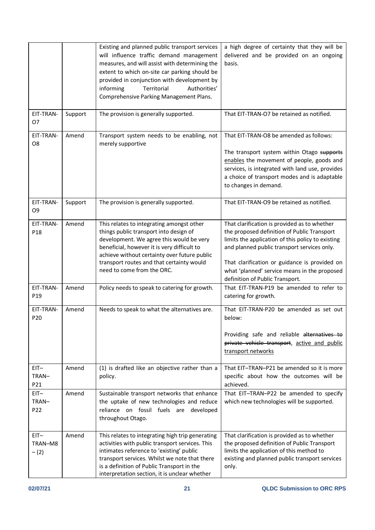|                               |         | Existing and planned public transport services<br>will influence traffic demand management<br>measures, and will assist with determining the<br>extent to which on-site car parking should be<br>provided in conjunction with development by<br>informing<br>Territorial<br>Authorities'<br>Comprehensive Parking Management Plans. | a high degree of certainty that they will be<br>delivered and be provided on an ongoing<br>basis.                                                                                                                                                                                                                                   |
|-------------------------------|---------|-------------------------------------------------------------------------------------------------------------------------------------------------------------------------------------------------------------------------------------------------------------------------------------------------------------------------------------|-------------------------------------------------------------------------------------------------------------------------------------------------------------------------------------------------------------------------------------------------------------------------------------------------------------------------------------|
| EIT-TRAN-<br>07               | Support | The provision is generally supported.                                                                                                                                                                                                                                                                                               | That EIT-TRAN-O7 be retained as notified.                                                                                                                                                                                                                                                                                           |
| EIT-TRAN-<br>O <sub>8</sub>   | Amend   | Transport system needs to be enabling, not<br>merely supportive                                                                                                                                                                                                                                                                     | That EIT-TRAN-O8 be amended as follows:<br>The transport system within Otago supports<br>enables the movement of people, goods and<br>services, is integrated with land use, provides<br>a choice of transport modes and is adaptable<br>to changes in demand.                                                                      |
| EIT-TRAN-<br>O <sub>9</sub>   | Support | The provision is generally supported.                                                                                                                                                                                                                                                                                               | That EIT-TRAN-O9 be retained as notified.                                                                                                                                                                                                                                                                                           |
| EIT-TRAN-<br>P <sub>18</sub>  | Amend   | This relates to integrating amongst other<br>things public transport into design of<br>development. We agree this would be very<br>beneficial, however it is very difficult to<br>achieve without certainty over future public<br>transport routes and that certainty would<br>need to come from the ORC.                           | That clarification is provided as to whether<br>the proposed definition of Public Transport<br>limits the application of this policy to existing<br>and planned public transport services only.<br>That clarification or guidance is provided on<br>what 'planned' service means in the proposed<br>definition of Public Transport. |
| EIT-TRAN-<br>P <sub>19</sub>  | Amend   | Policy needs to speak to catering for growth.                                                                                                                                                                                                                                                                                       | That EIT-TRAN-P19 be amended to refer to<br>catering for growth.                                                                                                                                                                                                                                                                    |
| EIT-TRAN-<br>P <sub>20</sub>  | Amend   | Needs to speak to what the alternatives are.                                                                                                                                                                                                                                                                                        | That EIT-TRAN-P20 be amended as set out<br>below:<br>Providing safe and reliable alternatives to<br>private vehicle transport, active and public<br>transport networks                                                                                                                                                              |
| $EIT -$<br>TRAN-<br>P21       | Amend   | (1) is drafted like an objective rather than a<br>policy.                                                                                                                                                                                                                                                                           | That EIT-TRAN-P21 be amended so it is more<br>specific about how the outcomes will be<br>achieved.                                                                                                                                                                                                                                  |
| $EIT -$<br>TRAN-<br>P22       | Amend   | Sustainable transport networks that enhance<br>the uptake of new technologies and reduce<br>reliance on fossil fuels are developed<br>throughout Otago.                                                                                                                                                                             | That EIT-TRAN-P22 be amended to specify<br>which new technologies will be supported.                                                                                                                                                                                                                                                |
| $EIT -$<br>TRAN-M8<br>$- (2)$ | Amend   | This relates to integrating high trip generating<br>activities with public transport services. This<br>intimates reference to 'existing' public<br>transport services. Whilst we note that there<br>is a definition of Public Transport in the<br>interpretation section, it is unclear whether                                     | That clarification is provided as to whether<br>the proposed definition of Public Transport<br>limits the application of this method to<br>existing and planned public transport services<br>only.                                                                                                                                  |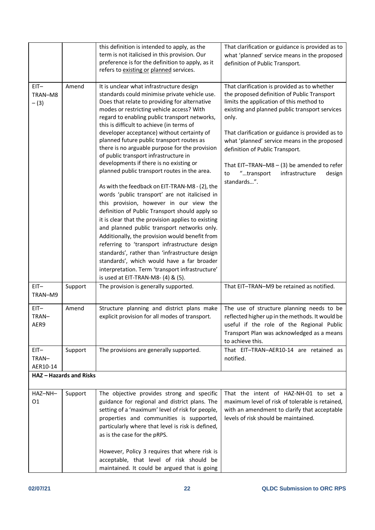|                               |                              | this definition is intended to apply, as the<br>term is not italicised in this provision. Our<br>preference is for the definition to apply, as it<br>refers to existing or planned services.                                                                                                                                                                                                                                                                                                                                                                                                                                                                                                                                                                                                                                                                                                                                                                                                                                                                                                                                                                             | That clarification or guidance is provided as to<br>what 'planned' service means in the proposed<br>definition of Public Transport.                                                                                                                                                                                                                                                                                                                      |
|-------------------------------|------------------------------|--------------------------------------------------------------------------------------------------------------------------------------------------------------------------------------------------------------------------------------------------------------------------------------------------------------------------------------------------------------------------------------------------------------------------------------------------------------------------------------------------------------------------------------------------------------------------------------------------------------------------------------------------------------------------------------------------------------------------------------------------------------------------------------------------------------------------------------------------------------------------------------------------------------------------------------------------------------------------------------------------------------------------------------------------------------------------------------------------------------------------------------------------------------------------|----------------------------------------------------------------------------------------------------------------------------------------------------------------------------------------------------------------------------------------------------------------------------------------------------------------------------------------------------------------------------------------------------------------------------------------------------------|
| $EIT -$<br>TRAN-M8<br>$- (3)$ | Amend                        | It is unclear what infrastructure design<br>standards could minimise private vehicle use.<br>Does that relate to providing for alternative<br>modes or restricting vehicle access? With<br>regard to enabling public transport networks,<br>this is difficult to achieve (in terms of<br>developer acceptance) without certainty of<br>planned future public transport routes as<br>there is no arguable purpose for the provision<br>of public transport infrastructure in<br>developments if there is no existing or<br>planned public transport routes in the area.<br>As with the feedback on EIT-TRAN-M8 - (2), the<br>words 'public transport' are not italicised in<br>this provision, however in our view the<br>definition of Public Transport should apply so<br>it is clear that the provision applies to existing<br>and planned public transport networks only.<br>Additionally, the provision would benefit from<br>referring to 'transport infrastructure design<br>standards', rather than 'infrastructure design<br>standards', which would have a far broader<br>interpretation. Term 'transport infrastructure'<br>is used at EIT-TRAN-M8- (4) & (5). | That clarification is provided as to whether<br>the proposed definition of Public Transport<br>limits the application of this method to<br>existing and planned public transport services<br>only.<br>That clarification or guidance is provided as to<br>what 'planned' service means in the proposed<br>definition of Public Transport.<br>That EIT-TRAN-M8 $-$ (3) be amended to refer<br>"transport<br>infrastructure<br>design<br>to<br>standards". |
| $EIT -$<br>TRAN-M9            | Support                      | The provision is generally supported.                                                                                                                                                                                                                                                                                                                                                                                                                                                                                                                                                                                                                                                                                                                                                                                                                                                                                                                                                                                                                                                                                                                                    | That EIT-TRAN-M9 be retained as notified.                                                                                                                                                                                                                                                                                                                                                                                                                |
| $EIT -$<br>TRAN-<br>AER9      | Amend                        | Structure planning and district plans make<br>explicit provision for all modes of transport.                                                                                                                                                                                                                                                                                                                                                                                                                                                                                                                                                                                                                                                                                                                                                                                                                                                                                                                                                                                                                                                                             | The use of structure planning needs to be<br>reflected higher up in the methods. It would be<br>useful if the role of the Regional Public<br>Transport Plan was acknowledged as a means<br>to achieve this.                                                                                                                                                                                                                                              |
| $EIT -$<br>TRAN-<br>AER10-14  | Support                      | The provisions are generally supported.                                                                                                                                                                                                                                                                                                                                                                                                                                                                                                                                                                                                                                                                                                                                                                                                                                                                                                                                                                                                                                                                                                                                  | That EIT-TRAN-AER10-14 are retained as<br>notified.                                                                                                                                                                                                                                                                                                                                                                                                      |
|                               | <b>HAZ-Hazards and Risks</b> |                                                                                                                                                                                                                                                                                                                                                                                                                                                                                                                                                                                                                                                                                                                                                                                                                                                                                                                                                                                                                                                                                                                                                                          |                                                                                                                                                                                                                                                                                                                                                                                                                                                          |
| HAZ-NH-<br>01                 | Support                      | The objective provides strong and specific<br>guidance for regional and district plans. The<br>setting of a 'maximum' level of risk for people,<br>properties and communities is supported,<br>particularly where that level is risk is defined,<br>as is the case for the pRPS.<br>However, Policy 3 requires that where risk is<br>acceptable, that level of risk should be<br>maintained. It could be argued that is going                                                                                                                                                                                                                                                                                                                                                                                                                                                                                                                                                                                                                                                                                                                                            | That the intent of HAZ-NH-01 to set a<br>maximum level of risk of tolerable is retained,<br>with an amendment to clarify that acceptable<br>levels of risk should be maintained.                                                                                                                                                                                                                                                                         |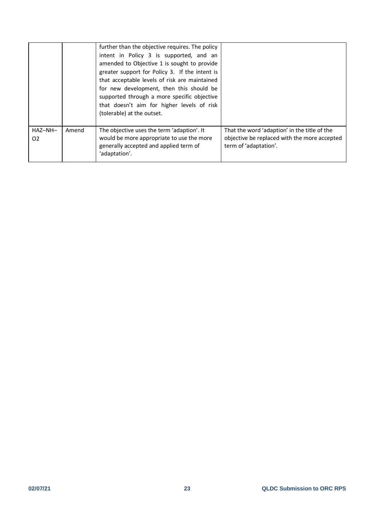| HAZ-NH-<br>02 | Amend | supported through a more specific objective<br>that doesn't aim for higher levels of risk<br>(tolerable) at the outset.<br>The objective uses the term 'adaption'. It<br>would be more appropriate to use the more<br>generally accepted and applied term of                             | That the word 'adaption' in the title of the<br>objective be replaced with the more accepted<br>term of 'adaptation'. |
|---------------|-------|------------------------------------------------------------------------------------------------------------------------------------------------------------------------------------------------------------------------------------------------------------------------------------------|-----------------------------------------------------------------------------------------------------------------------|
|               |       | further than the objective requires. The policy<br>intent in Policy 3 is supported, and an<br>amended to Objective 1 is sought to provide<br>greater support for Policy 3. If the intent is<br>that acceptable levels of risk are maintained<br>for new development, then this should be |                                                                                                                       |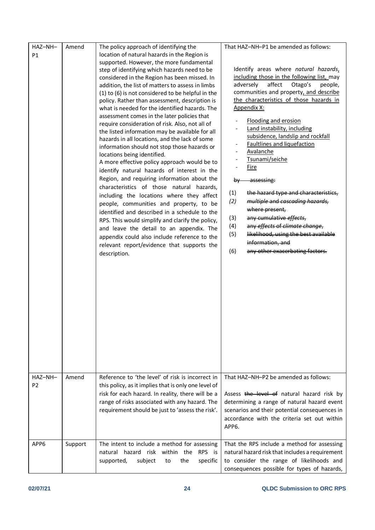| HAZ-NH-<br>P1<br>HAZ-NH- | Amend<br>Amend | The policy approach of identifying the<br>location of natural hazards in the Region is<br>supported. However, the more fundamental<br>step of identifying which hazards need to be<br>considered in the Region has been missed. In<br>addition, the list of matters to assess in limbs<br>(1) to (6) is not considered to be helpful in the<br>policy. Rather than assessment, description is<br>what is needed for the identified hazards. The<br>assessment comes in the later policies that<br>require consideration of risk. Also, not all of<br>the listed information may be available for all<br>hazards in all locations, and the lack of some<br>information should not stop those hazards or<br>locations being identified.<br>A more effective policy approach would be to<br>identify natural hazards of interest in the<br>Region, and requiring information about the<br>characteristics of those natural hazards,<br>including the locations where they affect<br>people, communities and property, to be<br>identified and described in a schedule to the<br>RPS. This would simplify and clarify the policy,<br>and leave the detail to an appendix. The<br>appendix could also include reference to the<br>relevant report/evidence that supports the<br>description.<br>Reference to 'the level' of risk is incorrect in | That HAZ-NH-P1 be amended as follows:<br>Identify areas where natural hazards,<br>including those in the following list, may<br>affect<br>adversely<br>Otago's<br>people,<br>communities and property, and describe<br>the characteristics of those hazards in<br>Appendix X:<br><b>Flooding and erosion</b><br>Land instability, including<br>subsidence, landslip and rockfall<br>Faultlines and liquefaction<br>Avalanche<br>Tsunami/seiche<br><u>Fire</u><br>assessing:<br><b>by</b><br>(1)<br>the hazard type and characteristics,<br>(2)<br>multiple and cascading hazards,<br>where present,<br>any cumulative effects,<br>(3)<br>any effects of climate change,<br>(4)<br>likelihood, using the best available<br>(5)<br>information, and<br>any other exacerbating factors.<br>(6)<br>That HAZ-NH-P2 be amended as follows: |
|--------------------------|----------------|---------------------------------------------------------------------------------------------------------------------------------------------------------------------------------------------------------------------------------------------------------------------------------------------------------------------------------------------------------------------------------------------------------------------------------------------------------------------------------------------------------------------------------------------------------------------------------------------------------------------------------------------------------------------------------------------------------------------------------------------------------------------------------------------------------------------------------------------------------------------------------------------------------------------------------------------------------------------------------------------------------------------------------------------------------------------------------------------------------------------------------------------------------------------------------------------------------------------------------------------------------------------------------------------------------------------------------------------|--------------------------------------------------------------------------------------------------------------------------------------------------------------------------------------------------------------------------------------------------------------------------------------------------------------------------------------------------------------------------------------------------------------------------------------------------------------------------------------------------------------------------------------------------------------------------------------------------------------------------------------------------------------------------------------------------------------------------------------------------------------------------------------------------------------------------------------|
| P <sub>2</sub>           |                | this policy, as it implies that is only one level of<br>risk for each hazard. In reality, there will be a<br>range of risks associated with any hazard. The<br>requirement should be just to 'assess the risk'.                                                                                                                                                                                                                                                                                                                                                                                                                                                                                                                                                                                                                                                                                                                                                                                                                                                                                                                                                                                                                                                                                                                             | Assess the level of natural hazard risk by<br>determining a range of natural hazard event<br>scenarios and their potential consequences in<br>accordance with the criteria set out within<br>APP <sub>6</sub>                                                                                                                                                                                                                                                                                                                                                                                                                                                                                                                                                                                                                        |
| APP6                     | Support        | The intent to include a method for assessing<br>natural hazard risk within the<br>RPS is<br>subject<br>the<br>specific<br>supported,<br>to                                                                                                                                                                                                                                                                                                                                                                                                                                                                                                                                                                                                                                                                                                                                                                                                                                                                                                                                                                                                                                                                                                                                                                                                  | That the RPS include a method for assessing<br>natural hazard risk that includes a requirement<br>to consider the range of likelihoods and<br>consequences possible for types of hazards,                                                                                                                                                                                                                                                                                                                                                                                                                                                                                                                                                                                                                                            |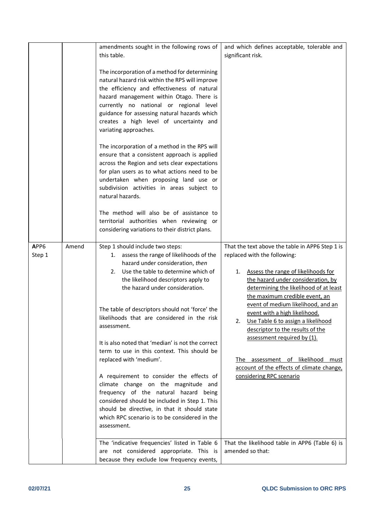|                |       | amendments sought in the following rows of<br>this table.                                                                                                                                                                                                                                                                                                  | and which defines acceptable, tolerable and<br>significant risk.                                                                                                                                                                                                                                                                                                                                   |
|----------------|-------|------------------------------------------------------------------------------------------------------------------------------------------------------------------------------------------------------------------------------------------------------------------------------------------------------------------------------------------------------------|----------------------------------------------------------------------------------------------------------------------------------------------------------------------------------------------------------------------------------------------------------------------------------------------------------------------------------------------------------------------------------------------------|
|                |       | The incorporation of a method for determining<br>natural hazard risk within the RPS will improve<br>the efficiency and effectiveness of natural<br>hazard management within Otago. There is<br>currently no national or regional level<br>guidance for assessing natural hazards which<br>creates a high level of uncertainty and<br>variating approaches. |                                                                                                                                                                                                                                                                                                                                                                                                    |
|                |       | The incorporation of a method in the RPS will<br>ensure that a consistent approach is applied<br>across the Region and sets clear expectations<br>for plan users as to what actions need to be<br>undertaken when proposing land use or<br>subdivision activities in areas subject to<br>natural hazards.                                                  |                                                                                                                                                                                                                                                                                                                                                                                                    |
|                |       | The method will also be of assistance to<br>territorial authorities when reviewing or<br>considering variations to their district plans.                                                                                                                                                                                                                   |                                                                                                                                                                                                                                                                                                                                                                                                    |
| APP6<br>Step 1 | Amend | Step 1 should include two steps:<br>1. assess the range of likelihoods of the<br>hazard under consideration, then<br>Use the table to determine which of<br>2.<br>the likelihood descriptors apply to<br>the hazard under consideration.<br>The table of descriptors should not 'force' the<br>likelihoods that are considered in the risk<br>assessment.  | That the text above the table in APP6 Step 1 is<br>replaced with the following:<br>Assess the range of likelihoods for<br>1.<br>the hazard under consideration, by<br>determining the likelihood of at least<br>the maximum credible event, an<br>event of medium likelihood, and an<br>event with a high likelihood.<br>2. Use Table 6 to assign a likelihood<br>descriptor to the results of the |
|                |       | It is also noted that 'median' is not the correct<br>term to use in this context. This should be<br>replaced with 'medium'.                                                                                                                                                                                                                                | assessment required by (1).<br>assessment of likelihood<br>must<br>The<br>account of the effects of climate change,                                                                                                                                                                                                                                                                                |
|                |       | A requirement to consider the effects of<br>climate change on the magnitude and<br>frequency of the natural hazard being<br>considered should be included in Step 1. This<br>should be directive, in that it should state<br>which RPC scenario is to be considered in the<br>assessment.                                                                  | considering RPC scenario                                                                                                                                                                                                                                                                                                                                                                           |
|                |       | The 'indicative frequencies' listed in Table 6<br>are not considered appropriate. This is<br>because they exclude low frequency events,                                                                                                                                                                                                                    | That the likelihood table in APP6 (Table 6) is<br>amended so that:                                                                                                                                                                                                                                                                                                                                 |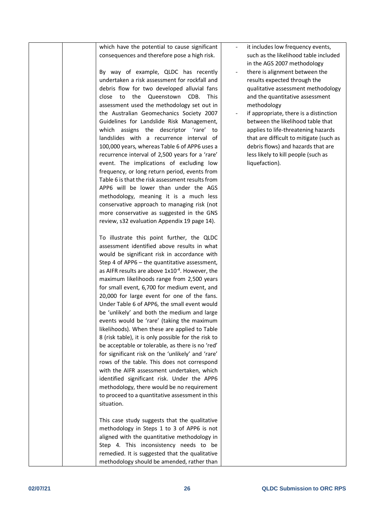| which have the potential to cause significant        | it includes low frequency events,       |
|------------------------------------------------------|-----------------------------------------|
| consequences and therefore pose a high risk.         | such as the likelihood table included   |
|                                                      | in the AGS 2007 methodology             |
| By way of example, QLDC has recently                 | there is alignment between the          |
| undertaken a risk assessment for rockfall and        | results expected through the            |
| debris flow for two developed alluvial fans          | qualitative assessment methodology      |
| close to<br>the Queenstown CDB.<br><b>This</b>       | and the quantitative assessment         |
| assessment used the methodology set out in           | methodology                             |
| the Australian Geomechanics Society 2007             | if appropriate, there is a distinction  |
| Guidelines for Landslide Risk Management,            | between the likelihood table that       |
| which assigns the descriptor 'rare' to               | applies to life-threatening hazards     |
| landslides with a recurrence interval of             | that are difficult to mitigate (such as |
| 100,000 years, whereas Table 6 of APP6 uses a        | debris flows) and hazards that are      |
| recurrence interval of 2,500 years for a 'rare'      | less likely to kill people (such as     |
| event. The implications of excluding low             | liquefaction).                          |
| frequency, or long return period, events from        |                                         |
| Table 6 is that the risk assessment results from     |                                         |
| APP6 will be lower than under the AGS                |                                         |
| methodology, meaning it is a much less               |                                         |
| conservative approach to managing risk (not          |                                         |
| more conservative as suggested in the GNS            |                                         |
| review, s32 evaluation Appendix 19 page 14).         |                                         |
|                                                      |                                         |
| To illustrate this point further, the QLDC           |                                         |
| assessment identified above results in what          |                                         |
| would be significant risk in accordance with         |                                         |
| Step 4 of APP6 - the quantitative assessment,        |                                         |
| as AIFR results are above $1x10^{-4}$ . However, the |                                         |
| maximum likelihoods range from 2,500 years           |                                         |
| for small event, 6,700 for medium event, and         |                                         |
| 20,000 for large event for one of the fans.          |                                         |
| Under Table 6 of APP6, the small event would         |                                         |
| be 'unlikely' and both the medium and large          |                                         |
| events would be 'rare' (taking the maximum           |                                         |
| likelihoods). When these are applied to Table        |                                         |
| 8 (risk table), it is only possible for the risk to  |                                         |
| be acceptable or tolerable, as there is no 'red'     |                                         |
| for significant risk on the 'unlikely' and 'rare'    |                                         |
| rows of the table. This does not correspond          |                                         |
| with the AIFR assessment undertaken, which           |                                         |
| identified significant risk. Under the APP6          |                                         |
| methodology, there would be no requirement           |                                         |
| to proceed to a quantitative assessment in this      |                                         |
| situation.                                           |                                         |
|                                                      |                                         |
| This case study suggests that the qualitative        |                                         |
| methodology in Steps 1 to 3 of APP6 is not           |                                         |
| aligned with the quantitative methodology in         |                                         |
| Step 4. This inconsistency needs to be               |                                         |
| remedied. It is suggested that the qualitative       |                                         |
| methodology should be amended, rather than           |                                         |
|                                                      |                                         |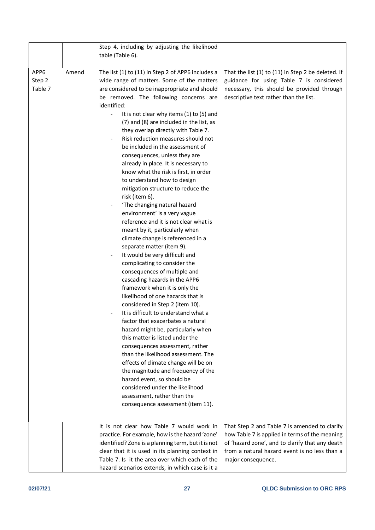|                           |       | Step 4, including by adjusting the likelihood<br>table (Table 6).                                                                                                                                                                                                                                                                                                                                                                                                                                                                                                                                                                                                                                                                                                                                                                                                                                                                                                                                                                                                                                                                                                                                                                                                                                                                                                                                  |                                                                                                                                                                                                                           |
|---------------------------|-------|----------------------------------------------------------------------------------------------------------------------------------------------------------------------------------------------------------------------------------------------------------------------------------------------------------------------------------------------------------------------------------------------------------------------------------------------------------------------------------------------------------------------------------------------------------------------------------------------------------------------------------------------------------------------------------------------------------------------------------------------------------------------------------------------------------------------------------------------------------------------------------------------------------------------------------------------------------------------------------------------------------------------------------------------------------------------------------------------------------------------------------------------------------------------------------------------------------------------------------------------------------------------------------------------------------------------------------------------------------------------------------------------------|---------------------------------------------------------------------------------------------------------------------------------------------------------------------------------------------------------------------------|
| APP6<br>Step 2<br>Table 7 | Amend | The list (1) to (11) in Step 2 of APP6 includes a<br>wide range of matters. Some of the matters<br>are considered to be inappropriate and should<br>be removed. The following concerns are<br>identified:<br>It is not clear why items (1) to (5) and<br>(7) and (8) are included in the list, as<br>they overlap directly with Table 7.<br>Risk reduction measures should not<br>be included in the assessment of<br>consequences, unless they are<br>already in place. It is necessary to<br>know what the risk is first, in order<br>to understand how to design<br>mitigation structure to reduce the<br>risk (item 6).<br>'The changing natural hazard<br>environment' is a very vague<br>reference and it is not clear what is<br>meant by it, particularly when<br>climate change is referenced in a<br>separate matter (item 9).<br>It would be very difficult and<br>complicating to consider the<br>consequences of multiple and<br>cascading hazards in the APP6<br>framework when it is only the<br>likelihood of one hazards that is<br>considered in Step 2 (item 10).<br>It is difficult to understand what a<br>factor that exacerbates a natural<br>hazard might be, particularly when<br>this matter is listed under the<br>consequences assessment, rather<br>than the likelihood assessment. The<br>effects of climate change will be on<br>the magnitude and frequency of the | That the list (1) to (11) in Step 2 be deleted. If<br>guidance for using Table 7 is considered<br>necessary, this should be provided through<br>descriptive text rather than the list.                                    |
|                           |       | hazard event, so should be<br>considered under the likelihood<br>assessment, rather than the<br>consequence assessment (item 11).                                                                                                                                                                                                                                                                                                                                                                                                                                                                                                                                                                                                                                                                                                                                                                                                                                                                                                                                                                                                                                                                                                                                                                                                                                                                  |                                                                                                                                                                                                                           |
|                           |       | It is not clear how Table 7 would work in<br>practice. For example, how is the hazard 'zone'<br>identified? Zone is a planning term, but it is not<br>clear that it is used in its planning context in<br>Table 7. Is it the area over which each of the<br>hazard scenarios extends, in which case is it a                                                                                                                                                                                                                                                                                                                                                                                                                                                                                                                                                                                                                                                                                                                                                                                                                                                                                                                                                                                                                                                                                        | That Step 2 and Table 7 is amended to clarify<br>how Table 7 is applied in terms of the meaning<br>of 'hazard zone', and to clarify that any death<br>from a natural hazard event is no less than a<br>major consequence. |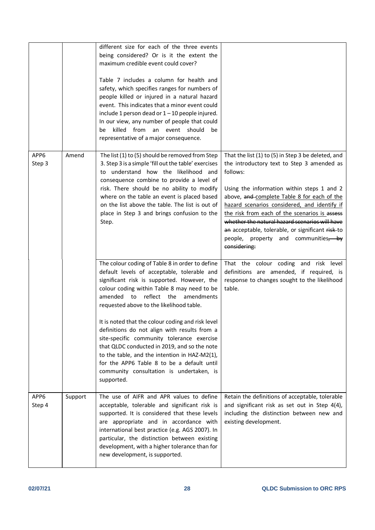|                |         | different size for each of the three events<br>being considered? Or is it the extent the<br>maximum credible event could cover?<br>Table 7 includes a column for health and<br>safety, which specifies ranges for numbers of<br>people killed or injured in a natural hazard<br>event. This indicates that a minor event could<br>include 1 person dead or $1 - 10$ people injured.<br>In our view, any number of people that could<br>killed from an event should<br>be<br>be<br>representative of a major consequence.                                                                                                                     |                                                                                                                                                                                                                                                                                                                                                                                                                                                                          |
|----------------|---------|----------------------------------------------------------------------------------------------------------------------------------------------------------------------------------------------------------------------------------------------------------------------------------------------------------------------------------------------------------------------------------------------------------------------------------------------------------------------------------------------------------------------------------------------------------------------------------------------------------------------------------------------|--------------------------------------------------------------------------------------------------------------------------------------------------------------------------------------------------------------------------------------------------------------------------------------------------------------------------------------------------------------------------------------------------------------------------------------------------------------------------|
| APP6<br>Step 3 | Amend   | The list (1) to (5) should be removed from Step<br>3. Step 3 is a simple 'fill out the table' exercises<br>to understand how the likelihood and<br>consequence combine to provide a level of<br>risk. There should be no ability to modify<br>where on the table an event is placed based<br>on the list above the table. The list is out of<br>place in Step 3 and brings confusion to the<br>Step.                                                                                                                                                                                                                                         | That the list (1) to (5) in Step 3 be deleted, and<br>the introductory text to Step 3 amended as<br>follows:<br>Using the information within steps 1 and 2<br>above, and complete Table 8 for each of the<br>hazard scenarios considered, and identify if<br>the risk from each of the scenarios is assess<br>whether the natural hazard scenarios will have<br>an acceptable, tolerable, or significant risk-to<br>people, property and communities, by<br>considering: |
|                |         | The colour coding of Table 8 in order to define<br>default levels of acceptable, tolerable and<br>significant risk is supported. However, the<br>colour coding within Table 8 may need to be<br>amended to reflect the<br>amendments<br>requested above to the likelihood table.<br>It is noted that the colour coding and risk level<br>definitions do not align with results from a<br>site-specific community tolerance exercise<br>that QLDC conducted in 2019, and so the note<br>to the table, and the intention in HAZ-M2(1),<br>for the APP6 Table 8 to be a default until<br>community consultation is undertaken, is<br>supported. | That the colour coding and risk level<br>definitions are amended, if required, is<br>response to changes sought to the likelihood<br>table.                                                                                                                                                                                                                                                                                                                              |
| APP6<br>Step 4 | Support | The use of AIFR and APR values to define<br>acceptable, tolerable and significant risk is<br>supported. It is considered that these levels<br>are appropriate and in accordance with<br>international best practice (e.g. AGS 2007). In<br>particular, the distinction between existing<br>development, with a higher tolerance than for<br>new development, is supported.                                                                                                                                                                                                                                                                   | Retain the definitions of acceptable, tolerable<br>and significant risk as set out in Step 4(4),<br>including the distinction between new and<br>existing development.                                                                                                                                                                                                                                                                                                   |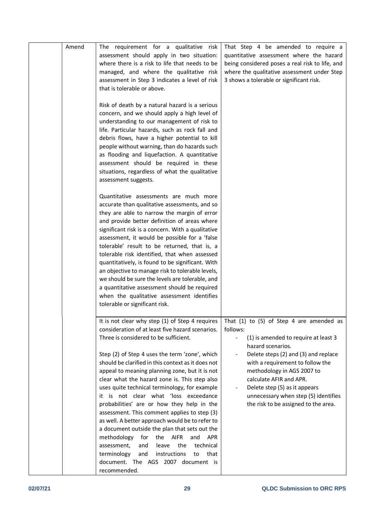| Amend | The requirement for a qualitative risk<br>assessment should apply in two situation:<br>where there is a risk to life that needs to be<br>managed, and where the qualitative risk<br>assessment in Step 3 indicates a level of risk<br>that is tolerable or above.<br>Risk of death by a natural hazard is a serious<br>concern, and we should apply a high level of<br>understanding to our management of risk to<br>life. Particular hazards, such as rock fall and                                                                                                                                                                                                                                                                                                                                                                                             | That Step 4 be amended to require a<br>quantitative assessment where the hazard<br>being considered poses a real risk to life, and<br>where the qualitative assessment under Step<br>3 shows a tolerable or significant risk.                                                                                                                                           |
|-------|------------------------------------------------------------------------------------------------------------------------------------------------------------------------------------------------------------------------------------------------------------------------------------------------------------------------------------------------------------------------------------------------------------------------------------------------------------------------------------------------------------------------------------------------------------------------------------------------------------------------------------------------------------------------------------------------------------------------------------------------------------------------------------------------------------------------------------------------------------------|-------------------------------------------------------------------------------------------------------------------------------------------------------------------------------------------------------------------------------------------------------------------------------------------------------------------------------------------------------------------------|
|       | debris flows, have a higher potential to kill<br>people without warning, than do hazards such<br>as flooding and liquefaction. A quantitative<br>assessment should be required in these<br>situations, regardless of what the qualitative<br>assessment suggests.                                                                                                                                                                                                                                                                                                                                                                                                                                                                                                                                                                                                |                                                                                                                                                                                                                                                                                                                                                                         |
|       | Quantitative assessments are much more<br>accurate than qualitative assessments, and so<br>they are able to narrow the margin of error<br>and provide better definition of areas where<br>significant risk is a concern. With a qualitative<br>assessment, it would be possible for a 'false<br>tolerable' result to be returned, that is, a<br>tolerable risk identified, that when assessed<br>quantitatively, is found to be significant. With<br>an objective to manage risk to tolerable levels,<br>we should be sure the levels are tolerable, and<br>a quantitative assessment should be required<br>when the qualitative assessment identifies<br>tolerable or significant risk.                                                                                                                                                                         |                                                                                                                                                                                                                                                                                                                                                                         |
|       | It is not clear why step (1) of Step 4 requires<br>consideration of at least five hazard scenarios.<br>Three is considered to be sufficient.<br>Step (2) of Step 4 uses the term 'zone', which<br>should be clarified in this context as it does not<br>appeal to meaning planning zone, but it is not<br>clear what the hazard zone is. This step also<br>uses quite technical terminology, for example<br>it is not clear what 'loss exceedance<br>probabilities' are or how they help in the<br>assessment. This comment applies to step (3)<br>as well. A better approach would be to refer to<br>a document outside the plan that sets out the<br>the AIFR<br>methodology<br>for<br>and<br>APR<br>assessment,<br>leave<br>the<br>technical<br>and<br>terminology<br>instructions<br>that<br>and<br>to<br>document. The AGS 2007 document is<br>recommended. | That (1) to (5) of Step 4 are amended as<br>follows:<br>(1) is amended to require at least 3<br>hazard scenarios.<br>Delete steps (2) and (3) and replace<br>with a requirement to follow the<br>methodology in AGS 2007 to<br>calculate AFIR and APR.<br>Delete step (5) as it appears<br>unnecessary when step (5) identifies<br>the risk to be assigned to the area. |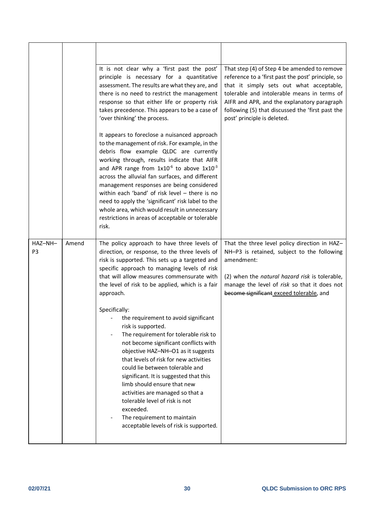|                           |       | It is not clear why a 'first past the post'<br>principle is necessary for a quantitative<br>assessment. The results are what they are, and<br>there is no need to restrict the management<br>response so that either life or property risk<br>takes precedence. This appears to be a case of<br>'over thinking' the process.                                                                                                                                                                                                                                        | That step (4) of Step 4 be amended to remove<br>reference to a 'first past the post' principle, so<br>that it simply sets out what acceptable,<br>tolerable and intolerable means in terms of<br>AIFR and APR, and the explanatory paragraph<br>following (5) that discussed the 'first past the<br>post' principle is deleted. |
|---------------------------|-------|---------------------------------------------------------------------------------------------------------------------------------------------------------------------------------------------------------------------------------------------------------------------------------------------------------------------------------------------------------------------------------------------------------------------------------------------------------------------------------------------------------------------------------------------------------------------|---------------------------------------------------------------------------------------------------------------------------------------------------------------------------------------------------------------------------------------------------------------------------------------------------------------------------------|
|                           |       | It appears to foreclose a nuisanced approach<br>to the management of risk. For example, in the<br>debris flow example QLDC are currently<br>working through, results indicate that AIFR<br>and APR range from $1x10^{-6}$ to above $1x10^{-3}$<br>across the alluvial fan surfaces, and different<br>management responses are being considered<br>within each 'band' of risk level - there is no<br>need to apply the 'significant' risk label to the<br>whole area, which would result in unnecessary<br>restrictions in areas of acceptable or tolerable<br>risk. |                                                                                                                                                                                                                                                                                                                                 |
| HAZ-NH-<br>P <sub>3</sub> | Amend | The policy approach to have three levels of<br>direction, or response, to the three levels of<br>risk is supported. This sets up a targeted and<br>specific approach to managing levels of risk<br>that will allow measures commensurate with<br>the level of risk to be applied, which is a fair<br>approach.                                                                                                                                                                                                                                                      | That the three level policy direction in HAZ-<br>NH-P3 is retained, subject to the following<br>amendment:<br>(2) when the natural hazard risk is tolerable,<br>manage the level of risk so that it does not<br>become significant exceed tolerable, and                                                                        |
|                           |       | Specifically:<br>the requirement to avoid significant<br>risk is supported.<br>The requirement for tolerable risk to<br>not become significant conflicts with<br>objective HAZ-NH-O1 as it suggests<br>that levels of risk for new activities<br>could lie between tolerable and<br>significant. It is suggested that this<br>limb should ensure that new<br>activities are managed so that a<br>tolerable level of risk is not<br>exceeded.<br>The requirement to maintain<br>acceptable levels of risk is supported.                                              |                                                                                                                                                                                                                                                                                                                                 |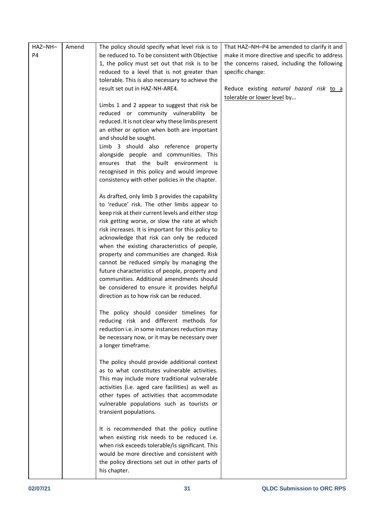| HAZ-NH-        | Amend | The policy should specify what level risk is to                                      | That HAZ-NH-P4 be amended to clarify it and    |
|----------------|-------|--------------------------------------------------------------------------------------|------------------------------------------------|
| P <sub>4</sub> |       | be reduced to. To be consistent with Objective                                       | make it more directive and specific to address |
|                |       | 1, the policy must set out that risk is to be                                        | the concerns raised, including the following   |
|                |       | reduced to a level that is not greater than                                          | specific change:                               |
|                |       | tolerable. This is also necessary to achieve the                                     |                                                |
|                |       | result set out in HAZ-NH-ARE4.                                                       | Reduce existing natural hazard risk to a       |
|                |       |                                                                                      | tolerable or lower level by                    |
|                |       | Limbs 1 and 2 appear to suggest that risk be                                         |                                                |
|                |       | reduced or community vulnerability be                                                |                                                |
|                |       | reduced. It is not clear why these limbs present                                     |                                                |
|                |       | an either or option when both are important                                          |                                                |
|                |       | and should be sought.                                                                |                                                |
|                |       | Limb 3 should also reference property                                                |                                                |
|                |       | alongside people and communities. This                                               |                                                |
|                |       | ensures that the built environment is<br>recognised in this policy and would improve |                                                |
|                |       | consistency with other policies in the chapter.                                      |                                                |
|                |       |                                                                                      |                                                |
|                |       | As drafted, only limb 3 provides the capability                                      |                                                |
|                |       | to 'reduce' risk. The other limbs appear to                                          |                                                |
|                |       | keep risk at their current levels and either stop                                    |                                                |
|                |       | risk getting worse, or slow the rate at which                                        |                                                |
|                |       | risk increases. It is important for this policy to                                   |                                                |
|                |       | acknowledge that risk can only be reduced                                            |                                                |
|                |       | when the existing characteristics of people,                                         |                                                |
|                |       | property and communities are changed. Risk                                           |                                                |
|                |       | cannot be reduced simply by managing the                                             |                                                |
|                |       | future characteristics of people, property and                                       |                                                |
|                |       | communities. Additional amendments should                                            |                                                |
|                |       | be considered to ensure it provides helpful                                          |                                                |
|                |       | direction as to how risk can be reduced.                                             |                                                |
|                |       | The policy should consider timelines for                                             |                                                |
|                |       | reducing risk and different methods for                                              |                                                |
|                |       | reduction i.e. in some instances reduction may                                       |                                                |
|                |       | be necessary now, or it may be necessary over                                        |                                                |
|                |       | a longer timeframe.                                                                  |                                                |
|                |       |                                                                                      |                                                |
|                |       | The policy should provide additional context                                         |                                                |
|                |       | as to what constitutes vulnerable activities.                                        |                                                |
|                |       | This may include more traditional vulnerable                                         |                                                |
|                |       | activities (i.e. aged care facilities) as well as                                    |                                                |
|                |       | other types of activities that accommodate                                           |                                                |
|                |       | vulnerable populations such as tourists or                                           |                                                |
|                |       | transient populations.                                                               |                                                |
|                |       |                                                                                      |                                                |
|                |       | It is recommended that the policy outline                                            |                                                |
|                |       | when existing risk needs to be reduced i.e.                                          |                                                |
|                |       | when risk exceeds tolerable/is significant. This                                     |                                                |
|                |       | would be more directive and consistent with                                          |                                                |
|                |       | the policy directions set out in other parts of<br>his chapter.                      |                                                |
|                |       |                                                                                      |                                                |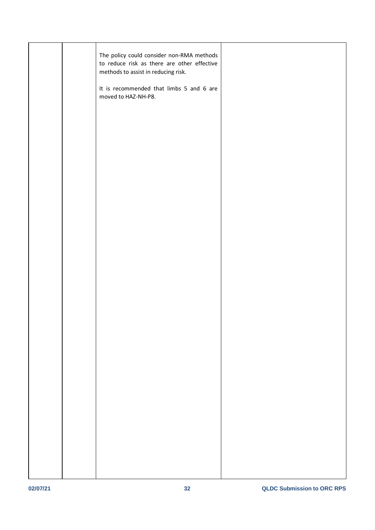|  | The policy could consider non-RMA methods<br>to reduce risk as there are other effective<br>methods to assist in reducing risk. |  |
|--|---------------------------------------------------------------------------------------------------------------------------------|--|
|  | It is recommended that limbs 5 and 6 are<br>moved to HAZ-NH-P8.                                                                 |  |
|  |                                                                                                                                 |  |
|  |                                                                                                                                 |  |
|  |                                                                                                                                 |  |
|  |                                                                                                                                 |  |
|  |                                                                                                                                 |  |
|  |                                                                                                                                 |  |
|  |                                                                                                                                 |  |
|  |                                                                                                                                 |  |
|  |                                                                                                                                 |  |
|  |                                                                                                                                 |  |
|  |                                                                                                                                 |  |
|  |                                                                                                                                 |  |
|  |                                                                                                                                 |  |
|  |                                                                                                                                 |  |
|  |                                                                                                                                 |  |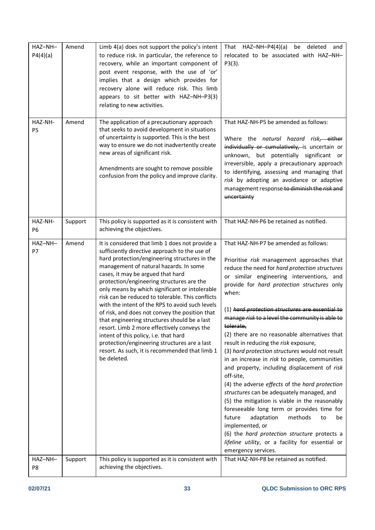| HAZ-NH-<br>P4(4)(a)       | Amend   | Limb 4(a) does not support the policy's intent<br>to reduce risk. In particular, the reference to<br>recovery, while an important component of<br>post event response, with the use of 'or'<br>implies that a design which provides for<br>recovery alone will reduce risk. This limb<br>appears to sit better with HAZ-NH-P3(3)<br>relating to new activities.                                                                                                                                                                                                                                                                                                                                                                                   | That HAZ-NH-P4(4)(a) be deleted<br>and<br>relocated to be associated with HAZ-NH-<br>$P3(3)$ .                                                                                                                                                                                                                                                                                                                                                                                                                                                                                                                                                                                                                                                                                                                                                                                                                                                                                                                       |
|---------------------------|---------|---------------------------------------------------------------------------------------------------------------------------------------------------------------------------------------------------------------------------------------------------------------------------------------------------------------------------------------------------------------------------------------------------------------------------------------------------------------------------------------------------------------------------------------------------------------------------------------------------------------------------------------------------------------------------------------------------------------------------------------------------|----------------------------------------------------------------------------------------------------------------------------------------------------------------------------------------------------------------------------------------------------------------------------------------------------------------------------------------------------------------------------------------------------------------------------------------------------------------------------------------------------------------------------------------------------------------------------------------------------------------------------------------------------------------------------------------------------------------------------------------------------------------------------------------------------------------------------------------------------------------------------------------------------------------------------------------------------------------------------------------------------------------------|
| HAZ-NH-<br><b>P5</b>      | Amend   | The application of a precautionary approach<br>that seeks to avoid development in situations<br>of uncertainty is supported. This is the best<br>way to ensure we do not inadvertently create<br>new areas of significant risk.<br>Amendments are sought to remove possible<br>confusion from the policy and improve clarity.                                                                                                                                                                                                                                                                                                                                                                                                                     | That HAZ-NH-P5 be amended as follows:<br>Where the natural hazard risk, either<br>individually or cumulatively, is uncertain or<br>unknown, but potentially significant or<br>irreversible, apply a precautionary approach<br>to identifying, assessing and managing that<br>risk by adopting an avoidance or adaptive<br>management response to diminish the risk and<br>uncertainty                                                                                                                                                                                                                                                                                                                                                                                                                                                                                                                                                                                                                                |
| HAZ-NH-<br>P <sub>6</sub> | Support | This policy is supported as it is consistent with<br>achieving the objectives.                                                                                                                                                                                                                                                                                                                                                                                                                                                                                                                                                                                                                                                                    | That HAZ-NH-P6 be retained as notified.                                                                                                                                                                                                                                                                                                                                                                                                                                                                                                                                                                                                                                                                                                                                                                                                                                                                                                                                                                              |
| HAZ-NH-<br>P7             | Amend   | It is considered that limb 1 does not provide a<br>sufficiently directive approach to the use of<br>hard protection/engineering structures in the<br>management of natural hazards. In some<br>cases, it may be argued that hard<br>protection/engineering structures are the<br>only means by which significant or intolerable<br>risk can be reduced to tolerable. This conflicts<br>with the intent of the RPS to avoid such levels<br>of risk, and does not convey the position that<br>that engineering structures should be a last<br>resort. Limb 2 more effectively conveys the<br>intent of this policy, i.e. that hard<br>protection/engineering structures are a last<br>resort. As such, it is recommended that limb 1<br>be deleted. | That HAZ-NH-P7 be amended as follows:<br>Prioritise risk management approaches that<br>reduce the need for hard protection structures<br>or similar engineering interventions, and<br>provide for hard protection structures only<br>when:<br>(1) hard protection structures are essential to<br>manage risk to a level the community is able to<br>tolerate,<br>(2) there are no reasonable alternatives that<br>result in reducing the risk exposure,<br>(3) hard protection structures would not result<br>in an increase in risk to people, communities<br>and property, including displacement of risk<br>off-site,<br>(4) the adverse effects of the hard protection<br>structures can be adequately managed, and<br>(5) the mitigation is viable in the reasonably<br>foreseeable long term or provides time for<br>future<br>adaptation<br>methods<br>to<br>be<br>implemented, or<br>(6) the hard protection structure protects a<br>lifeline utility, or a facility for essential or<br>emergency services. |
| HAZ-NH-<br>P8             | Support | This policy is supported as it is consistent with<br>achieving the objectives.                                                                                                                                                                                                                                                                                                                                                                                                                                                                                                                                                                                                                                                                    | That HAZ-NH-P8 be retained as notified.                                                                                                                                                                                                                                                                                                                                                                                                                                                                                                                                                                                                                                                                                                                                                                                                                                                                                                                                                                              |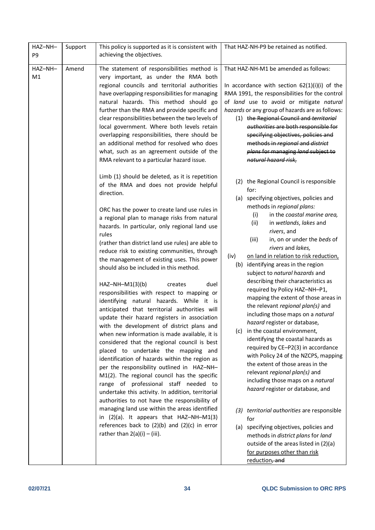| HAZ-NH-<br>Support<br>P <sub>9</sub> | This policy is supported as it is consistent with<br>achieving the objectives.                                                                                                                                                                                                                                                                                                                                                                                                                                                                                                                                                                                                                                                                                                                                                                                                                                                                                                                                                                                                                                                                                                                                                                                                                                                                                                      | That HAZ-NH-P9 be retained as notified.                                                                                                                                                                                                                                                                                                                                                                                                                                                                                                                                                                                                                                                                                                                                                                                                                                                                                                                                                                                                                                                                                                                                  |
|--------------------------------------|-------------------------------------------------------------------------------------------------------------------------------------------------------------------------------------------------------------------------------------------------------------------------------------------------------------------------------------------------------------------------------------------------------------------------------------------------------------------------------------------------------------------------------------------------------------------------------------------------------------------------------------------------------------------------------------------------------------------------------------------------------------------------------------------------------------------------------------------------------------------------------------------------------------------------------------------------------------------------------------------------------------------------------------------------------------------------------------------------------------------------------------------------------------------------------------------------------------------------------------------------------------------------------------------------------------------------------------------------------------------------------------|--------------------------------------------------------------------------------------------------------------------------------------------------------------------------------------------------------------------------------------------------------------------------------------------------------------------------------------------------------------------------------------------------------------------------------------------------------------------------------------------------------------------------------------------------------------------------------------------------------------------------------------------------------------------------------------------------------------------------------------------------------------------------------------------------------------------------------------------------------------------------------------------------------------------------------------------------------------------------------------------------------------------------------------------------------------------------------------------------------------------------------------------------------------------------|
| HAZ-NH-<br>Amend<br>M1               | The statement of responsibilities method is<br>very important, as under the RMA both<br>regional councils and territorial authorities<br>have overlapping responsibilities for managing<br>natural hazards. This method should go<br>further than the RMA and provide specific and<br>clear responsibilities between the two levels of<br>local government. Where both levels retain<br>overlapping responsibilities, there should be<br>an additional method for resolved who does<br>what, such as an agreement outside of the<br>RMA relevant to a particular hazard issue.                                                                                                                                                                                                                                                                                                                                                                                                                                                                                                                                                                                                                                                                                                                                                                                                      | That HAZ-NH-M1 be amended as follows:<br>In accordance with section $62(1)(i)(i)$ of the<br>RMA 1991, the responsibilities for the control<br>of land use to avoid or mitigate natural<br>hazards or any group of hazards are as follows:<br>(1) the Regional Council and territorial<br>authorities are both responsible for<br>specifying objectives, policies and<br>methods in regional and district<br>plans for managing land subject to<br>natural hazard risk,                                                                                                                                                                                                                                                                                                                                                                                                                                                                                                                                                                                                                                                                                                   |
|                                      | Limb (1) should be deleted, as it is repetition<br>of the RMA and does not provide helpful<br>direction.<br>ORC has the power to create land use rules in<br>a regional plan to manage risks from natural<br>hazards. In particular, only regional land use<br>rules<br>(rather than district land use rules) are able to<br>reduce risk to existing communities, through<br>the management of existing uses. This power<br>should also be included in this method.<br>$HAZ-NH-M1(3)(b)$<br>duel<br>creates<br>responsibilities with respect to mapping or<br>identifying natural hazards. While it is<br>anticipated that territorial authorities will<br>update their hazard registers in association<br>with the development of district plans and<br>when new information is made available, it is<br>considered that the regional council is best<br>placed to undertake the mapping and<br>identification of hazards within the region as<br>per the responsibility outlined in HAZ-NH-<br>M1(2). The regional council has the specific<br>range of professional staff needed to<br>undertake this activity. In addition, territorial<br>authorities to not have the responsibility of<br>managing land use within the areas identified<br>in $(2)(a)$ . It appears that HAZ-NH-M1(3)<br>references back to $(2)(b)$ and $(2)(c)$ in error<br>rather than $2(a)(i) - (iii)$ . | (2) the Regional Council is responsible<br>for:<br>(a) specifying objectives, policies and<br>methods in regional plans:<br>in the coastal marine area,<br>(i)<br>(ii)<br>in wetlands, lakes and<br>rivers, and<br>in, on or under the beds of<br>(iii)<br>rivers and lakes,<br>(iv)<br>on land in relation to risk reduction,<br>(b) identifying areas in the region<br>subject to natural hazards and<br>describing their characteristics as<br>required by Policy HAZ-NH-P1,<br>mapping the extent of those areas in<br>the relevant regional plan(s) and<br>including those maps on a natural<br>hazard register or database,<br>(c) in the coastal environment,<br>identifying the coastal hazards as<br>required by CE-P2(3) in accordance<br>with Policy 24 of the NZCPS, mapping<br>the extent of those areas in the<br>relevant regional plan(s) and<br>including those maps on a natural<br>hazard register or database, and<br>(3) territorial authorities are responsible<br>for<br>(a) specifying objectives, policies and<br>methods in district plans for land<br>outside of the areas listed in (2)(a)<br>for purposes other than risk<br>reduction, and |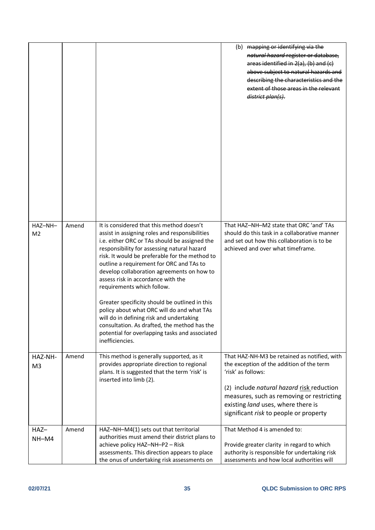|                           |       |                                                                                                                                                                                                                                                                                                                                                                                                                                                                                                                                                                                                                                                                              | (b) mapping or identifying via the<br>natural hazard register or database,<br>areas identified in 2(a), (b) and (c)<br>above subject to natural hazards and<br>describing the characteristics and the<br>extent of those areas in the relevant<br>district plan(s).                       |
|---------------------------|-------|------------------------------------------------------------------------------------------------------------------------------------------------------------------------------------------------------------------------------------------------------------------------------------------------------------------------------------------------------------------------------------------------------------------------------------------------------------------------------------------------------------------------------------------------------------------------------------------------------------------------------------------------------------------------------|-------------------------------------------------------------------------------------------------------------------------------------------------------------------------------------------------------------------------------------------------------------------------------------------|
| HAZ-NH-<br>M <sub>2</sub> | Amend | It is considered that this method doesn't<br>assist in assigning roles and responsibilities<br>i.e. either ORC or TAs should be assigned the<br>responsibility for assessing natural hazard<br>risk. It would be preferable for the method to<br>outline a requirement for ORC and TAs to<br>develop collaboration agreements on how to<br>assess risk in accordance with the<br>requirements which follow.<br>Greater specificity should be outlined in this<br>policy about what ORC will do and what TAs<br>will do in defining risk and undertaking<br>consultation. As drafted, the method has the<br>potential for overlapping tasks and associated<br>inefficiencies. | That HAZ-NH-M2 state that ORC 'and' TAs<br>should do this task in a collaborative manner<br>and set out how this collaboration is to be<br>achieved and over what timeframe.                                                                                                              |
| HAZ-NH-<br>M <sub>3</sub> | Amend | This method is generally supported, as it<br>provides appropriate direction to regional<br>plans. It is suggested that the term 'risk' is<br>inserted into limb (2).                                                                                                                                                                                                                                                                                                                                                                                                                                                                                                         | That HAZ-NH-M3 be retained as notified, with<br>the exception of the addition of the term<br>'risk' as follows:<br>(2) include natural hazard risk reduction<br>measures, such as removing or restricting<br>existing land uses, where there is<br>significant risk to people or property |
| HAZ-<br>NH-M4             | Amend | HAZ-NH-M4(1) sets out that territorial<br>authorities must amend their district plans to<br>achieve policy HAZ-NH-P2 - Risk<br>assessments. This direction appears to place<br>the onus of undertaking risk assessments on                                                                                                                                                                                                                                                                                                                                                                                                                                                   | That Method 4 is amended to:<br>Provide greater clarity in regard to which<br>authority is responsible for undertaking risk<br>assessments and how local authorities will                                                                                                                 |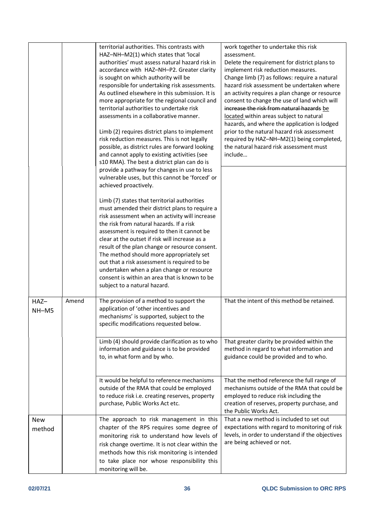|                      |       | territorial authorities. This contrasts with<br>HAZ-NH-M2(1) which states that 'local<br>authorities' must assess natural hazard risk in<br>accordance with HAZ-NH-P2. Greater clarity<br>is sought on which authority will be<br>responsible for undertaking risk assessments.<br>As outlined elsewhere in this submission. It is<br>more appropriate for the regional council and<br>territorial authorities to undertake risk<br>assessments in a collaborative manner.<br>Limb (2) requires district plans to implement<br>risk reduction measures. This is not legally<br>possible, as district rules are forward looking<br>and cannot apply to existing activities (see<br>s10 RMA). The best a district plan can do is<br>provide a pathway for changes in use to less<br>vulnerable uses, but this cannot be 'forced' or<br>achieved proactively.<br>Limb (7) states that territorial authorities<br>must amended their district plans to require a<br>risk assessment when an activity will increase<br>the risk from natural hazards. If a risk<br>assessment is required to then it cannot be<br>clear at the outset if risk will increase as a<br>result of the plan change or resource consent.<br>The method should more appropriately set<br>out that a risk assessment is required to be<br>undertaken when a plan change or resource<br>consent is within an area that is known to be<br>subject to a natural hazard. | work together to undertake this risk<br>assessment.<br>Delete the requirement for district plans to<br>implement risk reduction measures.<br>Change limb (7) as follows: require a natural<br>hazard risk assessment be undertaken where<br>an activity requires a plan change or resource<br>consent to change the use of land which will<br>increase the risk from natural hazards be<br>located within areas subject to natural<br>hazards, and where the application is lodged<br>prior to the natural hazard risk assessment<br>required by HAZ-NH-M2(1) being completed,<br>the natural hazard risk assessment must<br>include |
|----------------------|-------|-----------------------------------------------------------------------------------------------------------------------------------------------------------------------------------------------------------------------------------------------------------------------------------------------------------------------------------------------------------------------------------------------------------------------------------------------------------------------------------------------------------------------------------------------------------------------------------------------------------------------------------------------------------------------------------------------------------------------------------------------------------------------------------------------------------------------------------------------------------------------------------------------------------------------------------------------------------------------------------------------------------------------------------------------------------------------------------------------------------------------------------------------------------------------------------------------------------------------------------------------------------------------------------------------------------------------------------------------------------------------------------------------------------------------------------------|--------------------------------------------------------------------------------------------------------------------------------------------------------------------------------------------------------------------------------------------------------------------------------------------------------------------------------------------------------------------------------------------------------------------------------------------------------------------------------------------------------------------------------------------------------------------------------------------------------------------------------------|
| HAZ-<br>$NH-M5$      | Amend | The provision of a method to support the<br>application of 'other incentives and<br>mechanisms' is supported, subject to the<br>specific modifications requested below.                                                                                                                                                                                                                                                                                                                                                                                                                                                                                                                                                                                                                                                                                                                                                                                                                                                                                                                                                                                                                                                                                                                                                                                                                                                                 | That the intent of this method be retained.                                                                                                                                                                                                                                                                                                                                                                                                                                                                                                                                                                                          |
|                      |       | Limb (4) should provide clarification as to who<br>information and guidance is to be provided<br>to, in what form and by who.                                                                                                                                                                                                                                                                                                                                                                                                                                                                                                                                                                                                                                                                                                                                                                                                                                                                                                                                                                                                                                                                                                                                                                                                                                                                                                           | That greater clarity be provided within the<br>method in regard to what information and<br>guidance could be provided and to who.                                                                                                                                                                                                                                                                                                                                                                                                                                                                                                    |
|                      |       | It would be helpful to reference mechanisms<br>outside of the RMA that could be employed<br>to reduce risk i.e. creating reserves, property<br>purchase, Public Works Act etc.                                                                                                                                                                                                                                                                                                                                                                                                                                                                                                                                                                                                                                                                                                                                                                                                                                                                                                                                                                                                                                                                                                                                                                                                                                                          | That the method reference the full range of<br>mechanisms outside of the RMA that could be<br>employed to reduce risk including the<br>creation of reserves, property purchase, and<br>the Public Works Act.                                                                                                                                                                                                                                                                                                                                                                                                                         |
| <b>New</b><br>method |       | The approach to risk management in this<br>chapter of the RPS requires some degree of                                                                                                                                                                                                                                                                                                                                                                                                                                                                                                                                                                                                                                                                                                                                                                                                                                                                                                                                                                                                                                                                                                                                                                                                                                                                                                                                                   | That a new method is included to set out<br>expectations with regard to monitoring of risk                                                                                                                                                                                                                                                                                                                                                                                                                                                                                                                                           |
|                      |       | monitoring risk to understand how levels of                                                                                                                                                                                                                                                                                                                                                                                                                                                                                                                                                                                                                                                                                                                                                                                                                                                                                                                                                                                                                                                                                                                                                                                                                                                                                                                                                                                             | levels, in order to understand if the objectives<br>are being achieved or not.                                                                                                                                                                                                                                                                                                                                                                                                                                                                                                                                                       |
|                      |       | risk change overtime. It is not clear within the<br>methods how this risk monitoring is intended                                                                                                                                                                                                                                                                                                                                                                                                                                                                                                                                                                                                                                                                                                                                                                                                                                                                                                                                                                                                                                                                                                                                                                                                                                                                                                                                        |                                                                                                                                                                                                                                                                                                                                                                                                                                                                                                                                                                                                                                      |
|                      |       | to take place nor whose responsibility this                                                                                                                                                                                                                                                                                                                                                                                                                                                                                                                                                                                                                                                                                                                                                                                                                                                                                                                                                                                                                                                                                                                                                                                                                                                                                                                                                                                             |                                                                                                                                                                                                                                                                                                                                                                                                                                                                                                                                                                                                                                      |
|                      |       | monitoring will be.                                                                                                                                                                                                                                                                                                                                                                                                                                                                                                                                                                                                                                                                                                                                                                                                                                                                                                                                                                                                                                                                                                                                                                                                                                                                                                                                                                                                                     |                                                                                                                                                                                                                                                                                                                                                                                                                                                                                                                                                                                                                                      |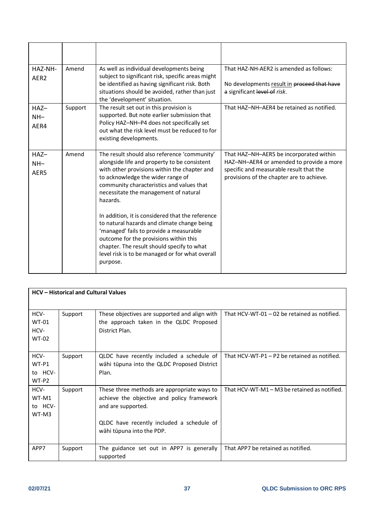| HAZ-NH-<br>AER <sub>2</sub> | Amend   | As well as individual developments being<br>subject to significant risk, specific areas might<br>be identified as having significant risk. Both<br>situations should be avoided, rather than just<br>the 'development' situation.                                                                                                                                                                                                                                                                                                                                                        | That HAZ-NH-AER2 is amended as follows:<br>No developments result in proceed that have<br>a significant level of risk.                                                      |
|-----------------------------|---------|------------------------------------------------------------------------------------------------------------------------------------------------------------------------------------------------------------------------------------------------------------------------------------------------------------------------------------------------------------------------------------------------------------------------------------------------------------------------------------------------------------------------------------------------------------------------------------------|-----------------------------------------------------------------------------------------------------------------------------------------------------------------------------|
| $HAZ-$<br>$NH-$<br>AER4     | Support | The result set out in this provision is<br>supported. But note earlier submission that<br>Policy HAZ-NH-P4 does not specifically set<br>out what the risk level must be reduced to for<br>existing developments.                                                                                                                                                                                                                                                                                                                                                                         | That HAZ-NH-AER4 be retained as notified.                                                                                                                                   |
| $HAZ-$<br>$NH-$<br>AER5     | Amend   | The result should also reference 'community'<br>alongside life and property to be consistent<br>with other provisions within the chapter and<br>to acknowledge the wider range of<br>community characteristics and values that<br>necessitate the management of natural<br>hazards.<br>In addition, it is considered that the reference<br>to natural hazards and climate change being<br>'managed' fails to provide a measurable<br>outcome for the provisions within this<br>chapter. The result should specify to what<br>level risk is to be managed or for what overall<br>purpose. | That HAZ-NH-AER5 be incorporated within<br>HAZ-NH-AER4 or amended to provide a more<br>specific and measurable result that the<br>provisions of the chapter are to achieve. |

| <b>HCV</b> – Historical and Cultural Values  |         |                                                                                                                                                                                           |                                                |
|----------------------------------------------|---------|-------------------------------------------------------------------------------------------------------------------------------------------------------------------------------------------|------------------------------------------------|
|                                              |         |                                                                                                                                                                                           |                                                |
| HCV-<br><b>WT-01</b><br>HCV-<br><b>WT-02</b> | Support | These objectives are supported and align with<br>the approach taken in the QLDC Proposed<br>District Plan.                                                                                | That HCV-WT-01 - 02 be retained as notified.   |
| HCV-<br>WT-P1<br>to HCV-<br>WT-P2            | Support | QLDC have recently included a schedule of<br>wāhi tūpuna into the QLDC Proposed District<br>Plan.                                                                                         | That HCV-WT-P1 $-$ P2 be retained as notified. |
| HCV-<br>WT-M1<br>to HCV-<br>WT-M3            | Support | These three methods are appropriate ways to<br>achieve the objective and policy framework<br>and are supported.<br>QLDC have recently included a schedule of<br>wāhi tūpuna into the PDP. | That HCV-WT-M1 – M3 be retained as notified.   |
| APP7                                         | Support | The guidance set out in APP7 is generally<br>supported                                                                                                                                    | That APP7 be retained as notified.             |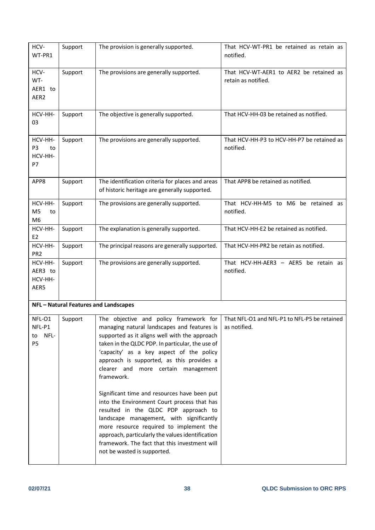| HCV-<br>WT-PR1                                    | Support | The provision is generally supported.                                                                                                                                                                                                                                                                                                                                                                                                                                                                                                                                                                                                                                                                      | That HCV-WT-PR1 be retained as retain as<br>notified.          |
|---------------------------------------------------|---------|------------------------------------------------------------------------------------------------------------------------------------------------------------------------------------------------------------------------------------------------------------------------------------------------------------------------------------------------------------------------------------------------------------------------------------------------------------------------------------------------------------------------------------------------------------------------------------------------------------------------------------------------------------------------------------------------------------|----------------------------------------------------------------|
| HCV-<br>WT-<br>AER1 to<br>AER <sub>2</sub>        | Support | The provisions are generally supported.                                                                                                                                                                                                                                                                                                                                                                                                                                                                                                                                                                                                                                                                    | That HCV-WT-AER1 to AER2 be retained as<br>retain as notified. |
| HCV-HH-<br>03                                     | Support | The objective is generally supported.                                                                                                                                                                                                                                                                                                                                                                                                                                                                                                                                                                                                                                                                      | That HCV-HH-03 be retained as notified.                        |
| HCV-HH-<br>P3<br>to<br>HCV-HH-<br>P7              | Support | The provisions are generally supported.                                                                                                                                                                                                                                                                                                                                                                                                                                                                                                                                                                                                                                                                    | That HCV-HH-P3 to HCV-HH-P7 be retained as<br>notified.        |
| APP8                                              | Support | The identification criteria for places and areas<br>of historic heritage are generally supported.                                                                                                                                                                                                                                                                                                                                                                                                                                                                                                                                                                                                          | That APP8 be retained as notified.                             |
| HCV-HH-<br>M <sub>5</sub><br>to<br>M <sub>6</sub> | Support | The provisions are generally supported.                                                                                                                                                                                                                                                                                                                                                                                                                                                                                                                                                                                                                                                                    | That HCV-HH-M5 to M6 be retained as<br>notified.               |
| HCV-HH-<br>E <sub>2</sub>                         | Support | The explanation is generally supported.                                                                                                                                                                                                                                                                                                                                                                                                                                                                                                                                                                                                                                                                    | That HCV-HH-E2 be retained as notified.                        |
| HCV-HH-<br>PR <sub>2</sub>                        | Support | The principal reasons are generally supported.                                                                                                                                                                                                                                                                                                                                                                                                                                                                                                                                                                                                                                                             | That HCV-HH-PR2 be retain as notified.                         |
| HCV-HH-<br>AER3 to<br>HCV-HH-<br>AER5             | Support | The provisions are generally supported.                                                                                                                                                                                                                                                                                                                                                                                                                                                                                                                                                                                                                                                                    | That HCV-HH-AER3 - AER5 be retain as<br>notified.              |
|                                                   |         | NFL - Natural Features and Landscapes                                                                                                                                                                                                                                                                                                                                                                                                                                                                                                                                                                                                                                                                      |                                                                |
| NFL-01<br>NFL-P1<br>NFL-<br>to<br>P <sub>5</sub>  | Support | The objective and policy framework for<br>managing natural landscapes and features is<br>supported as it aligns well with the approach<br>taken in the QLDC PDP. In particular, the use of<br>'capacity' as a key aspect of the policy<br>approach is supported, as this provides a<br>clearer and more certain management<br>framework.<br>Significant time and resources have been put<br>into the Environment Court process that has<br>resulted in the QLDC PDP approach to<br>landscape management, with significantly<br>more resource required to implement the<br>approach, particularly the values identification<br>framework. The fact that this investment will<br>not be wasted is supported. | That NFL-O1 and NFL-P1 to NFL-P5 be retained<br>as notified.   |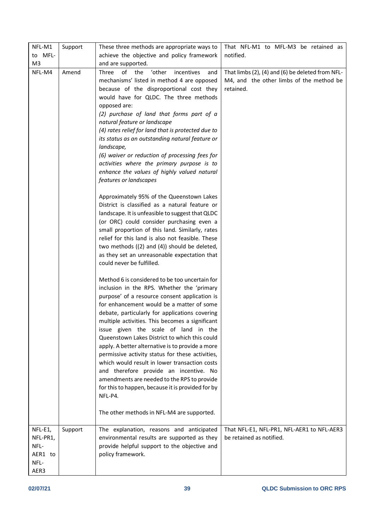| NFL-M1                      | Support | These three methods are appropriate ways to                                                                                                                                                                                                                                                                                                                                                                                                                                                                                                                                                                                                                                                                                                                                                                                                                                                                                                                                            | That NFL-M1 to MFL-M3 be retained as                                                                      |
|-----------------------------|---------|----------------------------------------------------------------------------------------------------------------------------------------------------------------------------------------------------------------------------------------------------------------------------------------------------------------------------------------------------------------------------------------------------------------------------------------------------------------------------------------------------------------------------------------------------------------------------------------------------------------------------------------------------------------------------------------------------------------------------------------------------------------------------------------------------------------------------------------------------------------------------------------------------------------------------------------------------------------------------------------|-----------------------------------------------------------------------------------------------------------|
| to MFL-                     |         | achieve the objective and policy framework                                                                                                                                                                                                                                                                                                                                                                                                                                                                                                                                                                                                                                                                                                                                                                                                                                                                                                                                             | notified.                                                                                                 |
| M <sub>3</sub>              |         | and are supported.                                                                                                                                                                                                                                                                                                                                                                                                                                                                                                                                                                                                                                                                                                                                                                                                                                                                                                                                                                     |                                                                                                           |
| NFL-M4                      | Amend   | of the<br>'other<br>Three<br>incentives<br>and<br>mechanisms' listed in method 4 are opposed<br>because of the disproportional cost they<br>would have for QLDC. The three methods<br>opposed are:<br>(2) purchase of land that forms part of a<br>natural feature or landscape<br>(4) rates relief for land that is protected due to<br>its status as an outstanding natural feature or<br>landscape,<br>(6) waiver or reduction of processing fees for<br>activities where the primary purpose is to<br>enhance the values of highly valued natural<br>features or landscapes<br>Approximately 95% of the Queenstown Lakes<br>District is classified as a natural feature or<br>landscape. It is unfeasible to suggest that QLDC<br>(or ORC) could consider purchasing even a<br>small proportion of this land. Similarly, rates<br>relief for this land is also not feasible. These<br>two methods ((2) and (4)) should be deleted,<br>as they set an unreasonable expectation that | That limbs (2), (4) and (6) be deleted from NFL-<br>M4, and the other limbs of the method be<br>retained. |
| NFL-E1,<br>NFL-PR1,<br>NFL- | Support | could never be fulfilled.<br>Method 6 is considered to be too uncertain for<br>inclusion in the RPS. Whether the 'primary<br>purpose' of a resource consent application is<br>for enhancement would be a matter of some<br>debate, particularly for applications covering<br>multiple activities. This becomes a significant<br>issue given the scale of land in the<br>Queenstown Lakes District to which this could<br>apply. A better alternative is to provide a more<br>permissive activity status for these activities,<br>which would result in lower transaction costs<br>and therefore provide an incentive. No<br>amendments are needed to the RPS to provide<br>for this to happen, because it is provided for by<br>NFL-P4.<br>The other methods in NFL-M4 are supported.<br>The explanation, reasons and anticipated<br>environmental results are supported as they<br>provide helpful support to the objective and                                                       | That NFL-E1, NFL-PR1, NFL-AER1 to NFL-AER3<br>be retained as notified.                                    |
| AER1 to<br>NFL-<br>AER3     |         | policy framework.                                                                                                                                                                                                                                                                                                                                                                                                                                                                                                                                                                                                                                                                                                                                                                                                                                                                                                                                                                      |                                                                                                           |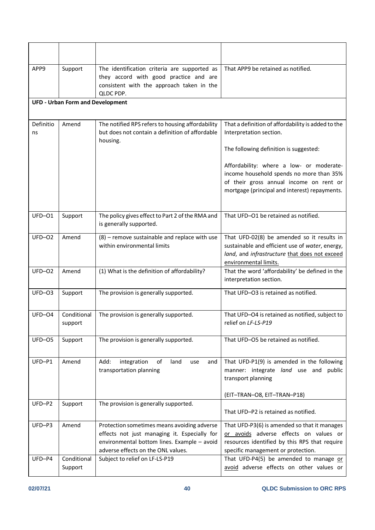| APP9            | Support                                 | The identification criteria are supported as<br>they accord with good practice and are<br>consistent with the approach taken in the<br>QLDC PDP.                                 | That APP9 be retained as notified.                                                                                                                                                                                                                         |
|-----------------|-----------------------------------------|----------------------------------------------------------------------------------------------------------------------------------------------------------------------------------|------------------------------------------------------------------------------------------------------------------------------------------------------------------------------------------------------------------------------------------------------------|
|                 | <b>UFD - Urban Form and Development</b> |                                                                                                                                                                                  |                                                                                                                                                                                                                                                            |
| Definitio<br>ns | Amend                                   | The notified RPS refers to housing affordability<br>but does not contain a definition of affordable<br>housing.                                                                  | That a definition of affordability is added to the<br>Interpretation section.<br>The following definition is suggested:<br>Affordability: where a low- or moderate-<br>income household spends no more than 35%<br>of their gross annual income on rent or |
|                 |                                         |                                                                                                                                                                                  | mortgage (principal and interest) repayments.                                                                                                                                                                                                              |
| UFD-01          | Support                                 | The policy gives effect to Part 2 of the RMA and<br>is generally supported.                                                                                                      | That UFD-O1 be retained as notified.                                                                                                                                                                                                                       |
| $UFD-O2$        | Amend                                   | $(8)$ – remove sustainable and replace with use<br>within environmental limits                                                                                                   | That UFD-02(8) be amended so it results in<br>sustainable and efficient use of water, energy,<br>land, and infrastructure that does not exceed<br>environmental limits.                                                                                    |
| $UFD-O2$        | Amend                                   | (1) What is the definition of affordability?                                                                                                                                     | That the word 'affordability' be defined in the<br>interpretation section.                                                                                                                                                                                 |
| $UFD-O3$        | Support                                 | The provision is generally supported.                                                                                                                                            | That UFD-O3 is retained as notified.                                                                                                                                                                                                                       |
| $UFD-O4$        | Conditional<br>support                  | The provision is generally supported.                                                                                                                                            | That UFD-O4 is retained as notified, subject to<br>relief on LF-LS-P19                                                                                                                                                                                     |
| UFD-05          | Support                                 | The provision is generally supported.                                                                                                                                            | That UFD-O5 be retained as notified.                                                                                                                                                                                                                       |
| UFD-P1          | Amend                                   | Add:<br>integration<br>of<br>land<br>and<br>use<br>transportation planning                                                                                                       | That UFD-P1(9) is amended in the following<br>manner: integrate land use and public<br>transport planning                                                                                                                                                  |
| UFD-P2          | Support                                 | The provision is generally supported.                                                                                                                                            | (EIT-TRAN-O8, EIT-TRAN-P18)<br>That UFD-P2 is retained as notified.                                                                                                                                                                                        |
| UFD-P3          | Amend                                   | Protection sometimes means avoiding adverse<br>effects not just managing it. Especially for<br>environmental bottom lines. Example - avoid<br>adverse effects on the ONL values. | That UFD-P3(6) is amended so that it manages<br>or avoids adverse effects on values or<br>resources identified by this RPS that require<br>specific management or protection.                                                                              |
| UFD-P4          | Conditional<br>Support                  | Subject to relief on LF-LS-P19                                                                                                                                                   | That UFD-P4(5) be amended to manage or<br>avoid adverse effects on other values or                                                                                                                                                                         |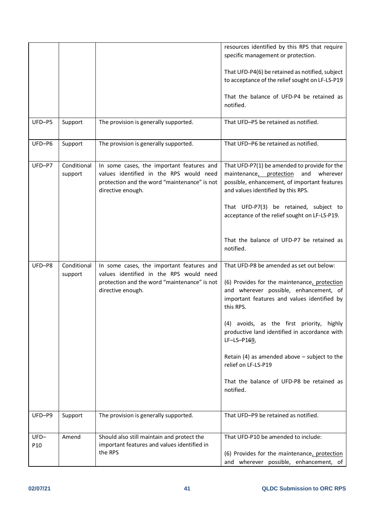|                           |                        |                                                                                                                                                           | resources identified by this RPS that require<br>specific management or protection.                                                                                              |
|---------------------------|------------------------|-----------------------------------------------------------------------------------------------------------------------------------------------------------|----------------------------------------------------------------------------------------------------------------------------------------------------------------------------------|
|                           |                        |                                                                                                                                                           | That UFD-P4(6) be retained as notified, subject<br>to acceptance of the relief sought on LF-LS-P19                                                                               |
|                           |                        |                                                                                                                                                           | That the balance of UFD-P4 be retained as<br>notified.                                                                                                                           |
| UFD-P5                    | Support                | The provision is generally supported.                                                                                                                     | That UFD-P5 be retained as notified.                                                                                                                                             |
| UFD-P6                    | Support                | The provision is generally supported.                                                                                                                     | That UFD-P6 be retained as notified.                                                                                                                                             |
| UFD-P7                    | Conditional<br>support | In some cases, the important features and<br>values identified in the RPS would need<br>protection and the word "maintenance" is not<br>directive enough. | That UFD-P7(1) be amended to provide for the<br>maintenance, protection<br>and<br>wherever<br>possible, enhancement, of important features<br>and values identified by this RPS. |
|                           |                        |                                                                                                                                                           | That UFD-P7(3) be retained, subject to<br>acceptance of the relief sought on LF-LS-P19.                                                                                          |
|                           |                        |                                                                                                                                                           | That the balance of UFD-P7 be retained as<br>notified.                                                                                                                           |
| UFD-P8                    | Conditional<br>support | In some cases, the important features and<br>values identified in the RPS would need                                                                      | That UFD-P8 be amended as set out below:                                                                                                                                         |
|                           |                        | protection and the word "maintenance" is not<br>directive enough.                                                                                         | (6) Provides for the maintenance, protection<br>and wherever possible, enhancement, of<br>important features and values identified by<br>this RPS.                               |
|                           |                        |                                                                                                                                                           | (4) avoids, as the first priority, highly<br>productive land identified in accordance with<br>LF-LS-P169,                                                                        |
|                           |                        |                                                                                                                                                           | Retain (4) as amended above $-$ subject to the<br>relief on LF-LS-P19                                                                                                            |
|                           |                        |                                                                                                                                                           | That the balance of UFD-P8 be retained as<br>notified.                                                                                                                           |
| UFD-P9                    | Support                | The provision is generally supported.                                                                                                                     | That UFD-P9 be retained as notified.                                                                                                                                             |
| $UFD-$<br>P <sub>10</sub> | Amend                  | Should also still maintain and protect the<br>important features and values identified in                                                                 | That UFD-P10 be amended to include:                                                                                                                                              |
|                           |                        | the RPS                                                                                                                                                   | (6) Provides for the maintenance, protection<br>and wherever possible, enhancement, of                                                                                           |